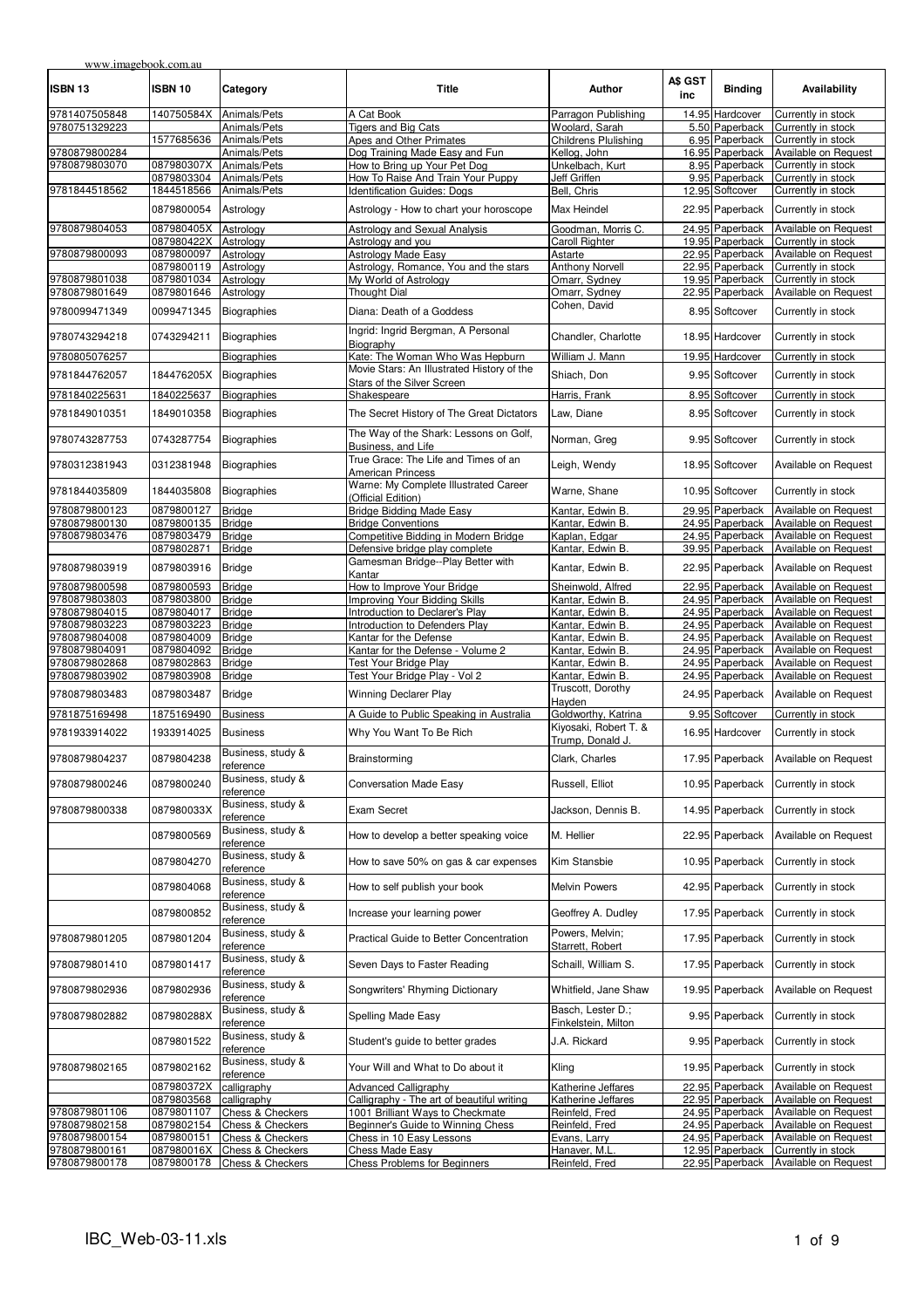| www.imagebook.com.au           |                          |                                      |                                                                  |                                           |                |                                    |                                              |
|--------------------------------|--------------------------|--------------------------------------|------------------------------------------------------------------|-------------------------------------------|----------------|------------------------------------|----------------------------------------------|
| ISBN 13                        | ISBN 10                  | Category                             | Title                                                            | Author                                    | A\$ GST<br>inc | <b>Binding</b>                     | Availability                                 |
| 9781407505848                  | 140750584X Animals/Pets  |                                      | A Cat Book                                                       | Parragon Publishing                       |                | 14.95 Hardcover                    | Currently in stock                           |
| 9780751329223                  |                          | Animals/Pets                         | <b>Tigers and Big Cats</b>                                       | Woolard, Sarah                            |                | 5.50 Paperback                     | Currently in stock                           |
|                                | 1577685636               | Animals/Pets                         | Apes and Other Primates                                          | <b>Childrens Plulishing</b>               |                | 6.95 Paperback                     | Currently in stock                           |
| 9780879800284                  |                          | Animals/Pets                         | Dog Training Made Easy and Fun                                   | Kellog, John                              |                | 16.95 Paperback                    | Available on Request                         |
| 9780879803070                  | 087980307X               | Animals/Pets                         | How to Bring up Your Pet Dog                                     | Unkelbach, Kurt                           |                | 8.95 Paperback                     | Currently in stock                           |
|                                | 0879803304<br>1844518566 | Animals/Pets<br>Animals/Pets         | How To Raise And Train Your Puppy<br>Identification Guides: Dogs | Jeff Griffen<br>Bell, Chris               |                | 9.95 Paperback<br>12.95 Softcover  | Currently in stock<br>Currently in stock     |
| 9781844518562                  |                          |                                      |                                                                  |                                           |                |                                    |                                              |
|                                | 0879800054               | Astrology                            | Astrology - How to chart your horoscope                          | Max Heindel                               |                | 22.95 Paperback                    | Currently in stock                           |
| 9780879804053                  | 087980405X               | Astrology                            | Astrology and Sexual Analysis                                    | Goodman, Morris C.                        |                | 24.95 Paperback                    | Available on Request                         |
|                                | 087980422X Astrology     |                                      | Astrology and you                                                | <b>Caroll Righter</b>                     |                | 19.95 Paperback                    | Currently in stock                           |
| 9780879800093                  | 0879800097               | Astrology                            | Astrology Made Easy                                              | Astarte                                   |                | 22.95 Paperback                    | Available on Request                         |
|                                | 0879800119               | Astrology                            | Astrology, Romance, You and the stars                            | <b>Anthony Norvell</b>                    |                | 22.95 Paperback                    | Currently in stock                           |
| 9780879801038                  | 0879801034               | Astrology                            | My World of Astrology                                            | Omarr, Sydney                             |                | 19.95 Paperback                    | Currently in stock                           |
| 9780879801649                  | 0879801646               | Astrology                            | <b>Thought Dial</b>                                              | Omarr, Sydney<br>Cohen, David             |                | 22.95 Paperback                    | Available on Request                         |
| 9780099471349                  | 0099471345               | <b>Biographies</b>                   | Diana: Death of a Goddess                                        |                                           |                | 8.95 Softcover                     | Currently in stock                           |
| 9780743294218                  | 0743294211               | Biographies                          | Ingrid: Ingrid Bergman, A Personal<br>Biography                  | Chandler, Charlotte                       |                | 18.95 Hardcover                    | Currently in stock                           |
| 9780805076257                  |                          | <b>Biographies</b>                   | Kate: The Woman Who Was Hepburn                                  | William J. Mann                           |                | 19.95 Hardcover                    | Currently in stock                           |
| 9781844762057                  | 184476205X Biographies   |                                      | Movie Stars: An Illustrated History of the                       | Shiach, Don                               |                | 9.95 Softcover                     | Currently in stock                           |
|                                |                          |                                      | Stars of the Silver Screen                                       |                                           |                |                                    |                                              |
| 9781840225631                  | 1840225637               | <b>Biographies</b>                   | Shakespeare                                                      | Harris, Frank                             |                | 8.95 Softcover                     | Currently in stock                           |
| 9781849010351                  | 1849010358               | <b>Biographies</b>                   | The Secret History of The Great Dictators                        | Law, Diane                                |                | 8.95 Softcover                     | Currently in stock                           |
| 9780743287753                  | 0743287754               | <b>Biographies</b>                   | The Way of the Shark: Lessons on Golf,<br>Business, and Life     | Norman, Greg                              |                | 9.95 Softcover                     | Currently in stock                           |
| 9780312381943                  | 0312381948               | <b>Biographies</b>                   | True Grace: The Life and Times of an<br><b>American Princess</b> | Leigh, Wendy                              |                | 18.95 Softcover                    | Available on Request                         |
| 9781844035809                  | 1844035808               | <b>Biographies</b>                   | Warne: My Complete Illustrated Career<br>(Official Edition)      | Warne, Shane                              |                | 10.95 Softcover                    | Currently in stock                           |
| 9780879800123                  | 0879800127               | <b>Bridge</b>                        | <b>Bridge Bidding Made Easy</b>                                  | Kantar, Edwin B.                          |                | 29.95 Paperback                    | Available on Request                         |
| 9780879800130                  | 0879800135               | <b>Bridge</b>                        | <b>Bridge Conventions</b>                                        | Kantar, Edwin B.                          |                | 24.95 Paperback                    | Available on Request                         |
| 9780879803476                  | 0879803479               | <b>Bridge</b>                        | Competitive Bidding in Modern Bridge                             | Kaplan, Edgar                             |                | 24.95 Paperback                    | Available on Request                         |
|                                | 0879802871               | <b>Bridge</b>                        | Defensive bridge play complete                                   | Kantar, Edwin B.                          |                | 39.95 Paperback                    | Available on Request                         |
| 9780879803919                  | 0879803916               | <b>Bridge</b>                        | Gamesman Bridge--Play Better with<br>Kantar                      | Kantar, Edwin B.                          |                | 22.95 Paperback                    | Available on Request                         |
| 9780879800598                  | 0879800593               | <b>Bridge</b>                        | How to Improve Your Bridge                                       | Sheinwold, Alfred                         |                | 22.95 Paperback                    | Available on Request                         |
| 9780879803803                  | 0879803800               | <b>Bridge</b>                        | Improving Your Bidding Skills                                    | Kantar, Edwin B.                          |                | 24.95 Paperback                    | Available on Request                         |
| 9780879804015                  | 0879804017               | <b>Bridge</b>                        | Introduction to Declarer's Play                                  | Kantar, Edwin B.                          |                | 24.95 Paperback                    | Available on Request                         |
| 9780879803223                  | 0879803223               | <b>Bridge</b>                        | Introduction to Defenders Play                                   | Kantar, Edwin B.                          |                | 24.95 Paperback                    | Available on Request                         |
| 9780879804008                  | 0879804009               | <b>Bridge</b>                        | Kantar for the Defense                                           | Kantar, Edwin B.                          |                | 24.95 Paperback                    | Available on Request<br>Available on Request |
| 9780879804091<br>9780879802868 | 0879804092<br>0879802863 | <b>Bridge</b><br><b>Bridge</b>       | Kantar for the Defense - Volume 2<br>Test Your Bridge Play       | Kantar, Edwin B.<br>Kantar, Edwin B.      |                | 24.95 Paperback<br>24.95 Paperback | Available on Request                         |
| 9780879803902                  | 0879803908               | <b>Bridge</b>                        | Test Your Bridge Play - Vol 2                                    | Kantar, Edwin B.                          |                | 24.95 Paperback                    | Available on Request                         |
|                                |                          |                                      |                                                                  | Truscott, Dorothy                         |                |                                    |                                              |
| 9780879803483                  | 0879803487               | <b>Bridge</b>                        | <b>Winning Declarer Play</b>                                     | Hayden                                    |                | 24.95 Paperback                    | Available on Request                         |
| 9781875169498                  | 1875169490               | <b>Business</b>                      | A Guide to Public Speaking in Australia                          | Goldworthy, Katrina                       |                | 9.95 Softcover                     | Currently in stock                           |
| 9781933914022                  | 1933914025               | <b>Business</b>                      | Why You Want To Be Rich                                          | Kiyosaki, Robert T. &<br>Trump, Donald J. |                | 16.95 Hardcover                    | Currently in stock                           |
| 9780879804237                  | 0879804238               | Business, study &<br>reference       | Brainstorming                                                    | Clark, Charles                            |                | 17.95 Paperback                    | Available on Request                         |
| 9780879800246                  | 0879800240               | Business, study &<br>reference       | <b>Conversation Made Easy</b>                                    | Russell, Elliot                           |                | 10.95 Paperback                    | Currently in stock                           |
| 9780879800338                  | 087980033X               | Business, study &                    | Exam Secret                                                      | Jackson, Dennis B.                        |                | 14.95 Paperback                    | Currently in stock                           |
|                                | 0879800569               | reference<br>Business, study &       | How to develop a better speaking voice                           | M. Hellier                                |                | 22.95 Paperback                    | Available on Request                         |
|                                | 0879804270               | reference<br>Business, study &       | How to save 50% on gas & car expenses                            | Kim Stansbie                              |                | 10.95 Paperback                    | Currently in stock                           |
|                                | 0879804068               | reference<br>Business, study &       | How to self publish your book                                    | <b>Melvin Powers</b>                      |                | 42.95 Paperback                    | Currently in stock                           |
|                                |                          | reference<br>Business, study &       |                                                                  |                                           |                |                                    | Currently in stock                           |
|                                | 0879800852               | reference<br>Business, study &       | Increase your learning power                                     | Geoffrey A. Dudley<br>Powers, Melvin;     |                | 17.95 Paperback                    |                                              |
| 9780879801205                  | 0879801204               | reference<br>Business, study &       | Practical Guide to Better Concentration                          | Starrett, Robert                          |                | 17.95 Paperback                    | Currently in stock                           |
| 9780879801410                  | 0879801417               | reference                            | Seven Days to Faster Reading                                     | Schaill, William S.                       |                | 17.95 Paperback                    | Currently in stock                           |
| 9780879802936                  | 0879802936               | Business, study &<br>reference       | Songwriters' Rhyming Dictionary                                  | Whitfield, Jane Shaw                      |                | 19.95 Paperback                    | Available on Request                         |
| 9780879802882                  | 087980288X               | Business, study &<br>reference       | Spelling Made Easy                                               | Basch, Lester D.;<br>Finkelstein, Milton  |                | 9.95 Paperback                     | Currently in stock                           |
|                                | 0879801522               | Business, study &<br>reference       | Student's guide to better grades                                 | J.A. Rickard                              |                | 9.95 Paperback                     | Currently in stock                           |
| 9780879802165                  | 0879802162               | Business, study &<br>reference       | Your Will and What to Do about it                                | Kling                                     |                | 19.95 Paperback                    | Currently in stock                           |
|                                | 087980372X               | calligraphy                          | <b>Advanced Calligraphy</b>                                      | Katherine Jeffares                        |                | 22.95 Paperback                    | Available on Request                         |
|                                | 0879803568               | calligraphy                          | Calligraphy - The art of beautiful writing                       | Katherine Jeffares                        |                | 22.95 Paperback                    | Available on Request                         |
| 9780879801106                  | 0879801107               | <b>Chess &amp; Checkers</b>          | 1001 Brilliant Ways to Checkmate                                 | Reinfeld, Fred                            |                | 24.95 Paperback                    | Available on Request                         |
| 9780879802158                  | 0879802154               | Chess & Checkers                     | Beginner's Guide to Winning Chess                                | Reinfeld, Fred                            |                | 24.95 Paperback                    | Available on Request                         |
| 9780879800154<br>9780879800161 | 0879800151<br>087980016X | Chess & Checkers<br>Chess & Checkers | Chess in 10 Easy Lessons<br>Chess Made Easy                      | Evans, Larry<br>Hanaver, M.L              |                | 24.95 Paperback<br>12.95 Paperback | Available on Request<br>Currently in stock   |
| 9780879800178                  | 0879800178               | <b>Chess &amp; Checkers</b>          | <b>Chess Problems for Beginners</b>                              | Reinfeld, Fred                            |                | 22.95 Paperback                    | Available on Request                         |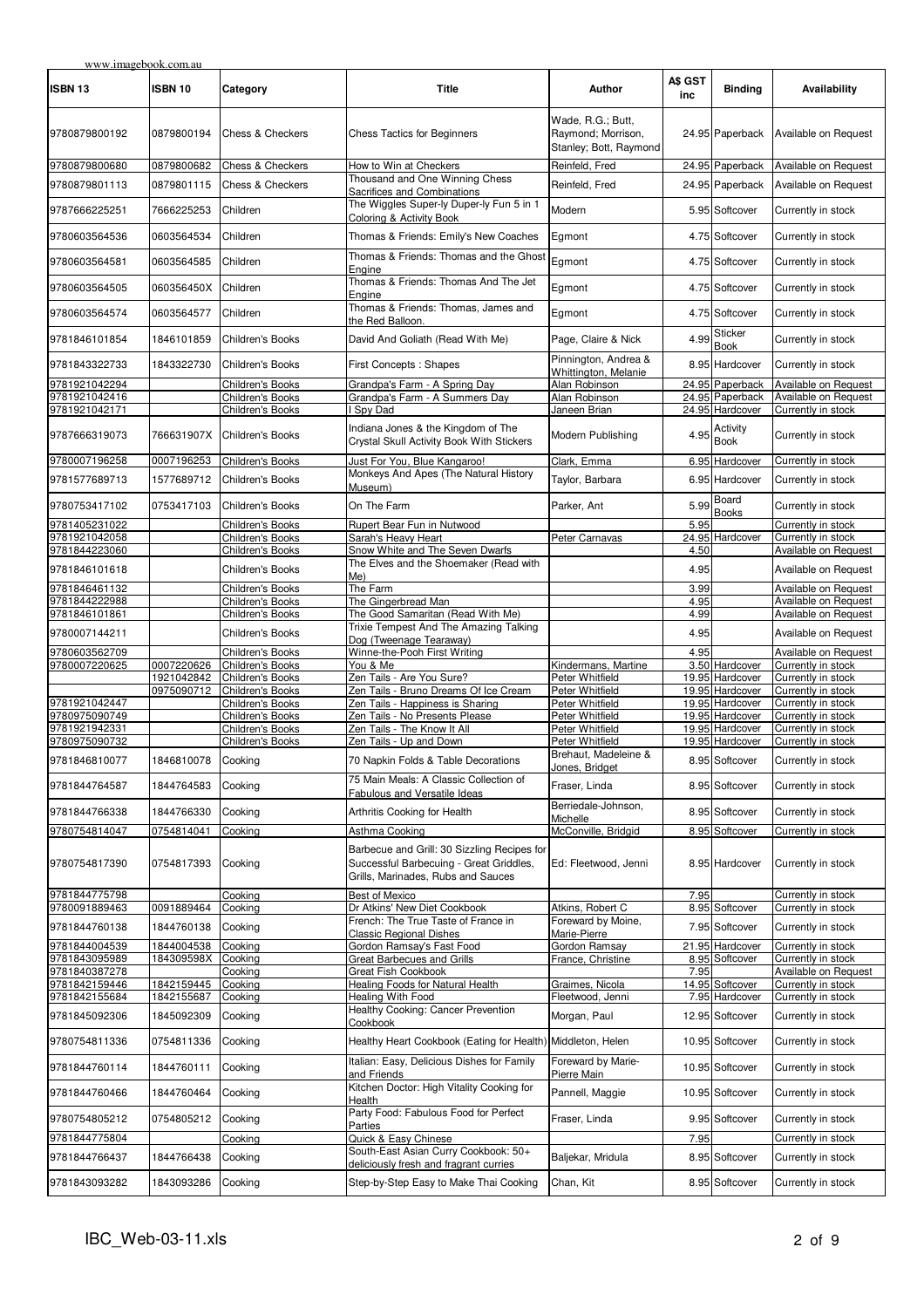| <b>ISBN 13</b>                 | <b>ISBN 10</b>           | Category                                    | <b>Title</b>                                                                                                                 | Author                                                            | A\$ GST<br>inc | <b>Binding</b>                            | Availability                                 |
|--------------------------------|--------------------------|---------------------------------------------|------------------------------------------------------------------------------------------------------------------------------|-------------------------------------------------------------------|----------------|-------------------------------------------|----------------------------------------------|
| 9780879800192                  | 0879800194               | <b>Chess &amp; Checkers</b>                 | <b>Chess Tactics for Beginners</b>                                                                                           | Wade, R.G.; Butt,<br>Raymond; Morrison,<br>Stanley; Bott, Raymond |                | 24.95 Paperback                           | Available on Request                         |
| 9780879800680                  | 0879800682               | Chess & Checkers                            | How to Win at Checkers                                                                                                       | Reinfeld, Fred                                                    |                | 24.95 Paperback                           | Available on Request                         |
| 9780879801113                  | 0879801115               | <b>Chess &amp; Checkers</b>                 | Thousand and One Winning Chess<br>Sacrifices and Combinations                                                                | Reinfeld, Fred                                                    |                | 24.95 Paperback                           | Available on Request                         |
| 9787666225251                  | 7666225253               | Children                                    | The Wiggles Super-ly Duper-ly Fun 5 in 1<br>Coloring & Activity Book                                                         | Modern                                                            |                | 5.95 Softcover                            | Currently in stock                           |
| 9780603564536                  | 0603564534               | Children                                    | Thomas & Friends: Emily's New Coaches                                                                                        | Egmont                                                            |                | 4.75 Softcover                            | Currently in stock                           |
| 9780603564581                  | 0603564585               | Children                                    | Thomas & Friends: Thomas and the Ghost<br>Engine                                                                             | Egmont                                                            |                | 4.75 Softcover                            | Currently in stock                           |
| 9780603564505                  | 060356450X               | Children                                    | Thomas & Friends: Thomas And The Jet<br>Engine                                                                               | Egmont                                                            |                | 4.75 Softcover                            | Currently in stock                           |
| 9780603564574                  | 0603564577               | Children                                    | Thomas & Friends: Thomas, James and<br>the Red Balloon.                                                                      | Egmont                                                            |                | 4.75 Softcover                            | Currently in stock                           |
| 9781846101854                  | 1846101859               | Children's Books                            | David And Goliath (Read With Me)                                                                                             | Page, Claire & Nick                                               | 4.99           | <b>Sticker</b><br><b>Book</b>             | Currently in stock                           |
| 9781843322733                  | 1843322730               | Children's Books                            | First Concepts: Shapes                                                                                                       | Pinnington, Andrea &<br>Whittington, Melanie                      |                | 8.95 Hardcover                            | Currently in stock                           |
| 9781921042294                  |                          | Children's Books                            | Grandpa's Farm - A Spring Day                                                                                                | Alan Robinson                                                     |                | 24.95 Paperback                           | Available on Request                         |
| 9781921042416                  |                          | <b>Children's Books</b>                     | Grandpa's Farm - A Summers Day                                                                                               | Alan Robinson                                                     |                | 24.95 Paperback                           | Available on Request                         |
| 9781921042171                  |                          | Children's Books                            | Spy Dad                                                                                                                      | Janeen Brian                                                      |                | 24.95 Hardcover                           | Currently in stock                           |
| 9787666319073                  | 766631907X               | Children's Books                            | Indiana Jones & the Kingdom of The<br>Crystal Skull Activity Book With Stickers                                              | Modern Publishing                                                 |                | $4.95$ <sup>Activity</sup><br><b>Book</b> | Currently in stock                           |
| 9780007196258                  | 0007196253               | Children's Books                            | Just For You, Blue Kangaroo!                                                                                                 | Clark, Emma                                                       |                | 6.95 Hardcover                            | Currently in stock                           |
| 9781577689713                  | 1577689712               | <b>Children's Books</b>                     | Monkeys And Apes (The Natural History<br>Museum)                                                                             | Taylor, Barbara                                                   |                | 6.95 Hardcover                            | Currently in stock                           |
| 9780753417102                  | 0753417103               | Children's Books                            | On The Farm                                                                                                                  | Parker, Ant                                                       | 5.99           | Board<br><b>Books</b>                     | Currently in stock                           |
| 9781405231022                  |                          | Children's Books                            | Rupert Bear Fun in Nutwood                                                                                                   |                                                                   | 5.95           |                                           | Currently in stock                           |
| 9781921042058                  |                          | Children's Books                            | Sarah's Heavy Heart                                                                                                          | Peter Carnavas                                                    |                | 24.95 Hardcover                           | Currently in stock                           |
| 9781844223060                  |                          | Children's Books                            | Snow White and The Seven Dwarfs<br>The Elves and the Shoemaker (Read with                                                    |                                                                   | 4.50           |                                           | Available on Request                         |
| 9781846101618                  |                          | Children's Books                            | $Me$ )                                                                                                                       |                                                                   | 4.95           |                                           | Available on Request                         |
| 9781846461132<br>9781844222988 |                          | Children's Books<br><b>Children's Books</b> | The Farm<br>The Gingerbread Man                                                                                              |                                                                   | 3.99<br>4.95   |                                           | Available on Request<br>Available on Request |
| 9781846101861                  |                          | Children's Books                            | The Good Samaritan (Read With Me)                                                                                            |                                                                   | 4.99           |                                           | Available on Request                         |
| 9780007144211                  |                          | Children's Books                            | Trixie Tempest And The Amazing Talking<br>Dog (Tweenage Tearaway)                                                            |                                                                   | 4.95           |                                           | Available on Request                         |
| 9780603562709                  |                          | Children's Books                            | Winne-the-Pooh First Writing                                                                                                 |                                                                   | 4.95           |                                           | Available on Request                         |
| 9780007220625                  | 0007220626<br>1921042842 | Children's Books<br>Children's Books        | You & Me<br>Zen Tails - Are You Sure?                                                                                        | Kindermans, Martine<br>Peter Whitfield                            |                | 3.50 Hardcover<br>19.95 Hardcover         | Currently in stock<br>Currently in stock     |
|                                | 0975090712               | Children's Books                            | Zen Tails - Bruno Dreams Of Ice Cream                                                                                        | Peter Whitfield                                                   |                | 19.95 Hardcover                           | Currently in stock                           |
| 9781921042447                  |                          | Children's Books                            | Zen Tails - Happiness is Sharing                                                                                             | Peter Whitfield                                                   |                | 19.95 Hardcover                           | Currently in stock                           |
| 9780975090749                  |                          | Children's Books                            | Zen Tails - No Presents Please                                                                                               | Peter Whitfield                                                   |                | 19.95 Hardcover                           | Currently in stock                           |
| 9781921942331<br>9780975090732 |                          | Children's Books<br>Children's Books        | Zen Tails - The Know It All<br>Zen Tails - Up and Down                                                                       | Peter Whitfield<br>Peter Whitfield                                |                | 19.95 Hardcover<br>19.95 Hardcover        | Currently in stock<br>Currently in stock     |
| 9781846810077                  | 1846810078               | Cooking                                     | 70 Napkin Folds & Table Decorations                                                                                          | Brehaut, Madeleine &                                              |                | 8.95 Softcover                            | Currently in stock                           |
| 9781844764587                  | 1844764583               | Cooking                                     | 75 Main Meals: A Classic Collection of<br>Fabulous and Versatile Ideas                                                       | Jones, Bridget<br>Fraser, Linda                                   |                | 8.95 Softcover                            | Currently in stock                           |
| 9781844766338                  | 1844766330               | Cooking                                     | Arthritis Cooking for Health                                                                                                 | Berriedale-Johnson,<br>Michelle                                   |                | 8.95 Softcover                            | Currently in stock                           |
| 9780754814047                  | 0754814041               | Cooking                                     | Asthma Cooking                                                                                                               | McConville, Bridgid                                               |                | 8.95 Softcover                            | Currently in stock                           |
| 9780754817390                  | 0754817393               | Cooking                                     | Barbecue and Grill: 30 Sizzling Recipes for<br>Successful Barbecuing - Great Griddles,<br>Grills, Marinades, Rubs and Sauces | Ed: Fleetwood, Jenni                                              |                | 8.95 Hardcover                            | Currently in stock                           |
| 9781844775798                  |                          | Cooking                                     | <b>Best of Mexico</b>                                                                                                        |                                                                   | 7.95           |                                           | Currently in stock                           |
| 9780091889463<br>9781844760138 | 0091889464<br>1844760138 | Cooking<br>Cooking                          | Dr Atkins' New Diet Cookbook<br>French: The True Taste of France in                                                          | Atkins, Robert C<br>Foreward by Moine,                            |                | 8.95 Softcover<br>7.95 Softcover          | Currently in stock<br>Currently in stock     |
| 9781844004539                  | 1844004538               | Cooking                                     | <b>Classic Regional Dishes</b><br>Gordon Ramsay's Fast Food                                                                  | Marie-Pierre<br>Gordon Ramsay                                     |                | 21.95 Hardcover                           | Currently in stock                           |
| 9781843095989                  | 184309598X               | Cooking                                     | Great Barbecues and Grills                                                                                                   | France, Christine                                                 |                | 8.95 Softcover                            | Currently in stock                           |
| 9781840387278                  |                          | Cooking                                     | Great Fish Cookbook                                                                                                          |                                                                   | 7.95           |                                           | Available on Request                         |
| 9781842159446                  | 1842159445               | Cooking                                     | Healing Foods for Natural Health                                                                                             | Graimes, Nicola                                                   |                | 14.95 Softcover                           | Currently in stock                           |
| 9781842155684                  | 1842155687               | Cooking                                     | <b>Healing With Food</b><br>Healthy Cooking: Cancer Prevention                                                               | Fleetwood, Jenni                                                  |                | 7.95 Hardcover                            | Currently in stock                           |
| 9781845092306                  | 1845092309               | Cooking                                     | Cookbook                                                                                                                     | Morgan, Paul                                                      |                | 12.95 Softcover                           | Currently in stock                           |
| 9780754811336                  | 0754811336               | Cooking                                     | Healthy Heart Cookbook (Eating for Health)                                                                                   | Middleton, Helen                                                  |                | 10.95 Softcover                           | Currently in stock                           |
| 9781844760114                  | 1844760111               | Cooking                                     | Italian: Easy, Delicious Dishes for Family<br>and Friends<br>Kitchen Doctor: High Vitality Cooking for                       | Foreward by Marie-<br>Pierre Main                                 |                | 10.95 Softcover                           | Currently in stock                           |
| 9781844760466                  | 1844760464               | Cooking                                     | Health                                                                                                                       | Pannell, Maggie                                                   |                | 10.95 Softcover                           | Currently in stock                           |
| 9780754805212                  | 0754805212               | Cooking                                     | Party Food: Fabulous Food for Perfect<br>Parties                                                                             | Fraser, Linda                                                     |                | 9.95 Softcover                            | Currently in stock                           |
| 9781844775804                  |                          | Cooking                                     | Quick & Easy Chinese<br>South-East Asian Curry Cookbook: 50+                                                                 |                                                                   | 7.95           |                                           | Currently in stock                           |
| 9781844766437                  | 1844766438               | Cooking                                     | deliciously fresh and fragrant curries                                                                                       | Baljekar, Mridula                                                 |                | 8.95 Softcover                            | Currently in stock                           |
| 9781843093282                  | 1843093286               | Cooking                                     | Step-by-Step Easy to Make Thai Cooking                                                                                       | Chan, Kit                                                         |                | 8.95 Softcover                            | Currently in stock                           |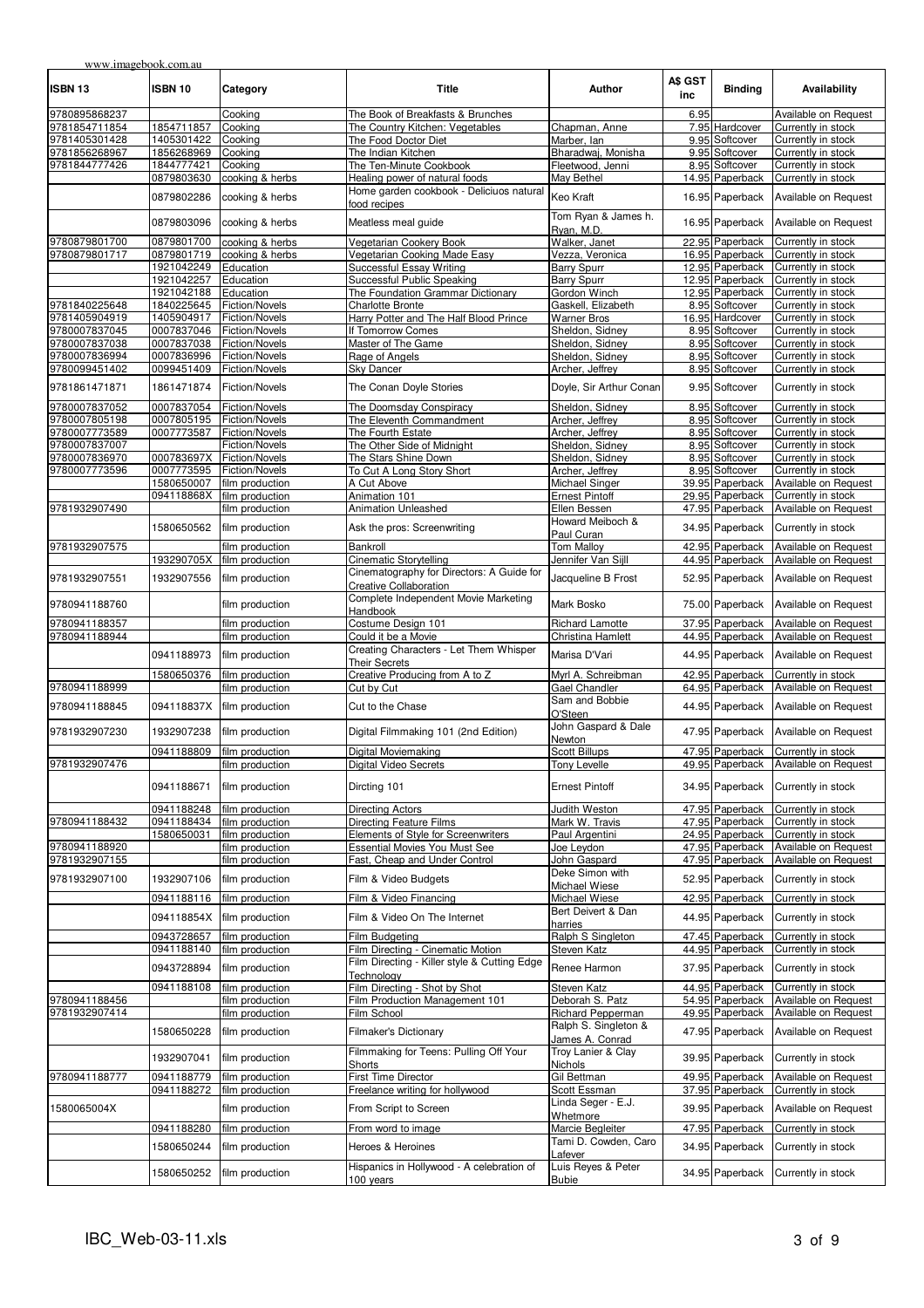| www.imagebook.com.au           |                          |                                  |                                                                       |                                            |                |                                  |                                          |
|--------------------------------|--------------------------|----------------------------------|-----------------------------------------------------------------------|--------------------------------------------|----------------|----------------------------------|------------------------------------------|
| ISBN 13                        | ISBN 10                  | Category                         | <b>Title</b>                                                          | Author                                     | A\$ GST<br>inc | <b>Binding</b>                   | Availability                             |
| 9780895868237                  |                          | Cooking                          | The Book of Breakfasts & Brunches                                     |                                            | 6.95           |                                  | Available on Request                     |
| 9781854711854                  | 1854711857               | Cooking                          | The Country Kitchen: Vegetables                                       | Chapman, Anne                              |                | 7.95 Hardcover                   | Currently in stock                       |
| 9781405301428                  | 1405301422               | Cooking                          | The Food Doctor Diet                                                  | Marber, Ian                                |                | 9.95 Softcover                   | Currently in stock                       |
| 9781856268967                  | 1856268969               | Cooking                          | The Indian Kitchen                                                    | Bharadwaj, Monisha                         |                | 9.95 Softcover                   | Currently in stock                       |
| 9781844777426                  | 1844777421               | Cooking                          | The Ten-Minute Cookbook                                               | Fleetwood, Jenni                           |                | 8.95 Softcover                   | Currently in stock                       |
|                                | 0879803630               | cooking & herbs                  | Healing power of natural foods                                        | May Bethel                                 |                | 14.95 Paperback                  | Currently in stock                       |
|                                | 0879802286               | cooking & herbs                  | Home garden cookbook - Deliciuos natural<br>food recipes              | Keo Kraft                                  |                | 16.95 Paperback                  | Available on Request                     |
|                                | 0879803096               | cooking & herbs                  | Meatless meal quide                                                   | Tom Ryan & James h.<br>Ryan, M.D.          |                | 16.95 Paperback                  | Available on Request                     |
| 9780879801700                  | 0879801700               | cooking & herbs                  | Vegetarian Cookery Book                                               | Walker, Janet                              |                | 22.95 Paperback                  | Currently in stock                       |
| 9780879801717                  | 0879801719               | cooking & herbs                  | Vegetarian Cooking Made Easy                                          | Vezza, Veronica                            |                | 16.95 Paperback                  | Currently in stock                       |
|                                | 1921042249               | Education                        | Successful Essay Writing                                              | <b>Barry Spurr</b>                         |                | 12.95 Paperback                  | Currently in stock                       |
|                                | 1921042257               | Education                        | Successful Public Speaking                                            | <b>Barry Spurr</b>                         |                | 12.95 Paperback                  | Currently in stock                       |
|                                | 1921042188               | Education                        | The Foundation Grammar Dictionary                                     | Gordon Winch                               |                | 12.95 Paperback                  | Currently in stock                       |
| 9781840225648                  | 1840225645               | Fiction/Novels                   | <b>Charlotte Bronte</b>                                               | Gaskell, Elizabeth                         |                | 8.95 Softcover                   | Currently in stock                       |
| 9781405904919                  | 1405904917               | Fiction/Novels                   | Harry Potter and The Half Blood Prince                                | <b>Warner Bros</b>                         |                | 16.95 Hardcover                  | Currently in stock                       |
| 9780007837045                  | 0007837046               | Fiction/Novels                   | If Tomorrow Comes                                                     | Sheldon, Sidney                            |                | 8.95 Softcover                   | Currently in stock                       |
| 9780007837038                  | 0007837038               | Fiction/Novels                   | Master of The Game                                                    | Sheldon, Sidney                            |                | 8.95 Softcover                   | Currently in stock                       |
| 9780007836994                  |                          |                                  |                                                                       |                                            |                | 8.95 Softcover                   |                                          |
|                                | 0007836996               | Fiction/Novels                   | Rage of Angels                                                        | Sheldon, Sidney                            |                |                                  | Currently in stock                       |
| 9780099451402<br>9781861471871 | 0099451409<br>1861471874 | Fiction/Novels<br>Fiction/Novels | <b>Sky Dancer</b><br>The Conan Doyle Stories                          | Archer, Jeffrey<br>Doyle, Sir Arthur Conan |                | 8.95 Softcover<br>9.95 Softcover | Currently in stock<br>Currently in stock |
|                                |                          |                                  |                                                                       |                                            |                |                                  |                                          |
| 9780007837052                  | 0007837054               | Fiction/Novels                   | The Doomsday Conspiracy                                               | Sheldon, Sidney                            |                | 8.95 Softcover                   | Currently in stock                       |
| 9780007805198                  | 0007805195               | Fiction/Novels                   | The Eleventh Commandment                                              | Archer, Jeffrey                            |                | 8.95 Softcover                   | Currently in stock                       |
| 9780007773589                  | 0007773587               | Fiction/Novels                   | The Fourth Estate                                                     | Archer, Jeffrey                            |                | 8.95 Softcover                   | Currently in stock                       |
| 9780007837007                  |                          | Fiction/Novels                   | The Other Side of Midnight                                            | Sheldon, Sidney                            |                | 8.95 Softcover                   | Currently in stock                       |
| 9780007836970                  | 000783697X               | Fiction/Novels                   | The Stars Shine Down                                                  | Sheldon, Sidney                            |                | 8.95 Softcover                   | Currently in stock                       |
| 9780007773596                  | 0007773595               | Fiction/Novels                   | To Cut A Long Story Short                                             | Archer, Jeffrey                            |                | 8.95 Softcover                   | Currently in stock                       |
|                                | 1580650007               | film production                  | A Cut Above                                                           | Michael Singer                             |                | 39.95 Paperback                  | Available on Request                     |
|                                | 094118868X               | film production                  | Animation 101                                                         | <b>Ernest Pintoff</b>                      |                | 29.95 Paperback                  | Currently in stock                       |
| 9781932907490                  |                          | film production                  | <b>Animation Unleashed</b>                                            | Ellen Bessen                               |                | 47.95 Paperback                  | Available on Request                     |
|                                | 1580650562               | film production                  | Ask the pros: Screenwriting                                           | Howard Meiboch &<br>Paul Curan             |                | 34.95 Paperback                  | Currently in stock                       |
| 9781932907575                  |                          | film production                  | Bankroll                                                              | <b>Tom Malloy</b>                          |                | 42.95 Paperback                  | Available on Request                     |
|                                | 193290705X               | film production                  | Cinematic Storytelling                                                | Jennifer Van Sijll                         |                | 44.95 Paperback                  | Available on Request                     |
| 9781932907551                  | 1932907556               | film production                  | Cinematography for Directors: A Guide for                             | Jacqueline B Frost                         |                | 52.95 Paperback                  | Available on Request                     |
| 9780941188760                  |                          | film production                  | <b>Creative Collaboration</b><br>Complete Independent Movie Marketing | Mark Bosko                                 |                | 75.00 Paperback                  | Available on Request                     |
| 9780941188357                  |                          | film production                  | Handbook<br>Costume Design 101                                        | Richard Lamotte                            |                | 37.95 Paperback                  | Available on Request                     |
| 9780941188944                  |                          | film production                  | Could it be a Movie                                                   | Christina Hamlett                          |                | 44.95 Paperback                  | Available on Request                     |
|                                |                          |                                  | Creating Characters - Let Them Whisper                                |                                            |                |                                  |                                          |
|                                | 0941188973               | film production                  | <b>Their Secrets</b>                                                  | Marisa D'Vari                              |                | 44.95 Paperback                  | Available on Request                     |
|                                | 1580650376               | film production                  | Creative Producing from A to Z                                        | Myrl A. Schreibman                         |                | 42.95 Paperback                  | Currently in stock                       |
| 9780941188999                  |                          | film production                  | Cut by Cut                                                            | Gael Chandler                              |                | 64.95 Paperback                  | Available on Request                     |
| 9780941188845                  | 094118837X               | film production                  | Cut to the Chase                                                      | Sam and Bobbie<br>O'Steen                  |                | 44.95 Paperback                  | Available on Request                     |
| 9781932907230                  | 1932907238               | film production                  | Digital Filmmaking 101 (2nd Edition)                                  | John Gaspard & Dale<br>Newton              |                | 47.95 Paperback                  | Available on Request                     |
|                                | 0941188809               | film production                  | Digital Moviemaking                                                   | <b>Scott Billups</b>                       |                |                                  | 47.95 Paperback Currently in stock       |
| 9781932907476                  |                          | film production                  | <b>Digital Video Secrets</b>                                          | <b>Tony Levelle</b>                        |                |                                  | 49.95 Paperback Available on Request     |
|                                | 0941188671               | film production                  | Dircting 101                                                          | <b>Ernest Pintoff</b>                      |                | 34.95 Paperback                  | Currently in stock                       |
|                                | 0941188248               | film production                  | Directing Actors                                                      | Judith Weston                              |                | 47.95 Paperback                  | Currently in stock                       |
| 9780941188432                  | 0941188434               | film production                  | Directing Feature Films                                               | Mark W. Travis                             |                | 47.95 Paperback                  | Currently in stock                       |
|                                | 1580650031               | film production                  | Elements of Style for Screenwriters                                   | Paul Argentini                             |                | 24.95 Paperback                  | Currently in stock                       |
| 9780941188920                  |                          | film production                  | <b>Essential Movies You Must See</b>                                  | Joe Leydon                                 |                | 47.95 Paperback                  | Available on Request                     |
| 9781932907155                  |                          | film production                  | Fast, Cheap and Under Control                                         | John Gaspard                               |                | 47.95 Paperback                  | Available on Request                     |
| 9781932907100                  | 1932907106               | film production                  | Film & Video Budgets                                                  | Deke Simon with                            |                | 52.95 Paperback                  | Currently in stock                       |
|                                | 0941188116               | film production                  | Film & Video Financing                                                | Michael Wiese<br><b>Michael Wiese</b>      |                | 42.95 Paperback                  | Currently in stock                       |
|                                | 094118854X               | film production                  | Film & Video On The Internet                                          | Bert Deivert & Dan                         |                | 44.95 Paperback                  | Currently in stock                       |
|                                |                          |                                  |                                                                       | harries                                    |                |                                  |                                          |
|                                | 0943728657               | film production                  | Film Budgeting                                                        | Ralph S Singleton                          |                | 47.45 Paperback                  | Currently in stock                       |
|                                | 0941188140               | film production                  | Film Directing - Cinematic Motion                                     | Steven Katz                                |                | 44.95 Paperback                  | Currently in stock                       |
|                                | 0943728894               | film production                  | Film Directing - Killer style & Cutting Edge<br>Technology            | Renee Harmon                               |                | 37.95 Paperback                  | Currently in stock                       |
|                                | 0941188108               | film production                  | Film Directing - Shot by Shot                                         | Steven Katz                                |                | 44.95 Paperback                  | Currently in stock                       |
| 9780941188456                  |                          | film production                  | Film Production Management 101                                        | Deborah S. Patz                            |                | 54.95 Paperback                  | Available on Request                     |
| 9781932907414                  |                          | film production                  | Film School                                                           | Richard Pepperman                          |                | 49.95 Paperback                  | Available on Request                     |
|                                |                          |                                  |                                                                       | Ralph S. Singleton &                       |                |                                  |                                          |
|                                | 1580650228               | film production                  | <b>Filmaker's Dictionary</b>                                          | James A. Conrad                            |                | 47.95 Paperback                  | Available on Request                     |
|                                | 1932907041               | film production                  | Filmmaking for Teens: Pulling Off Your<br>Shorts                      | Troy Lanier & Clay<br><b>Nichols</b>       |                | 39.95 Paperback                  | Currently in stock                       |
| 9780941188777                  | 0941188779               | film production                  | <b>First Time Director</b>                                            | Gil Bettman                                |                | 49.95 Paperback                  | Available on Request                     |
|                                | 0941188272               | film production                  | Freelance writing for hollywood                                       | Scott Essman<br>Linda Seger - E.J.         |                | 37.95 Paperback                  | Currently in stock                       |
| 1580065004X                    |                          | film production                  | From Script to Screen                                                 | Whetmore                                   |                | 39.95 Paperback                  | Available on Request                     |
|                                | 0941188280               | film production                  | From word to image                                                    | Marcie Begleiter                           |                | 47.95 Paperback                  | Currently in stock                       |
|                                | 1580650244               | film production                  | Heroes & Heroines                                                     | Tami D. Cowden, Caro                       |                | 34.95 Paperback                  | Currently in stock                       |
|                                |                          |                                  | Hispanics in Hollywood - A celebration of                             | Lafever<br>Luis Reyes & Peter              |                |                                  |                                          |
|                                | 1580650252               | film production                  | 100 years                                                             | <b>Bubie</b>                               |                | 34.95 Paperback                  | Currently in stock                       |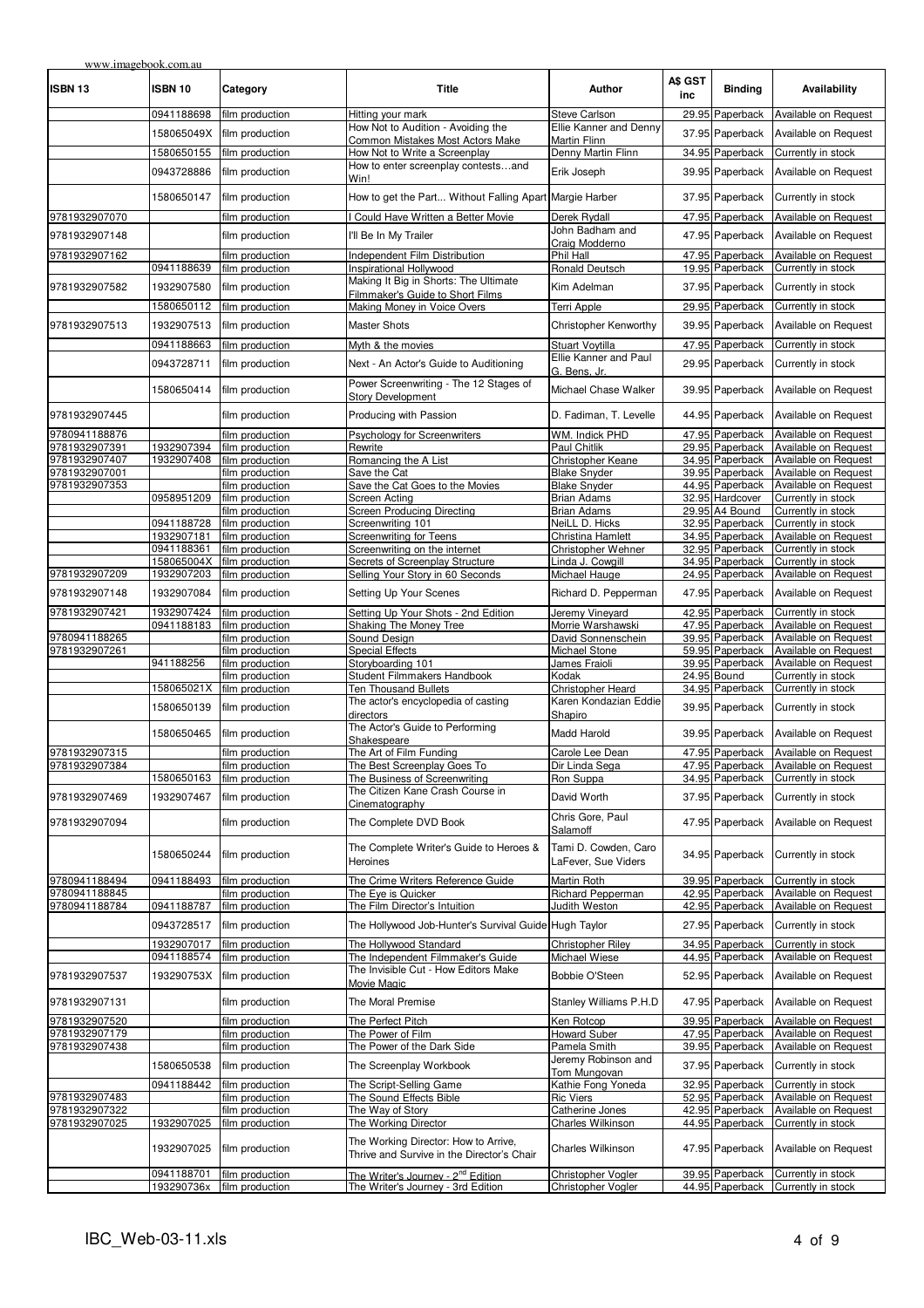| www.imagebook.com.au<br>ISBN 13 | <b>ISBN 10</b>           | Category                           | <b>Title</b>                                                                       | <b>Author</b>                               | A\$ GST<br>inc | <b>Binding</b>                     | Availability                                 |
|---------------------------------|--------------------------|------------------------------------|------------------------------------------------------------------------------------|---------------------------------------------|----------------|------------------------------------|----------------------------------------------|
|                                 | 0941188698               | film production                    | Hitting your mark                                                                  | <b>Steve Carlson</b>                        |                | 29.95 Paperback                    | Available on Request                         |
|                                 | 158065049X               | film production                    | How Not to Audition - Avoiding the                                                 | Ellie Kanner and Denny                      |                | 37.95 Paperback                    | Available on Request                         |
|                                 | 1580650155               | film production                    | Common Mistakes Most Actors Make<br>How Not to Write a Screenplay                  | Martin Flinn<br>Denny Martin Flinn          |                | 34.95 Paperback                    | Currently in stock                           |
|                                 |                          |                                    | How to enter screenplay contestsand                                                |                                             |                |                                    |                                              |
|                                 | 0943728886               | film production                    | Win!                                                                               | Erik Joseph                                 |                | 39.95 Paperback                    | Available on Request                         |
|                                 | 1580650147               | film production                    | How to get the Part Without Falling Apart Margie Harber                            |                                             |                | 37.95 Paperback                    | Currently in stock                           |
| 9781932907070                   |                          | film production                    | Could Have Written a Better Movie                                                  | Derek Rvdall                                |                | 47.95 Paperback                    | Available on Request                         |
| 9781932907148                   |                          | film production                    | I'll Be In My Trailer                                                              | John Badham and                             |                | 47.95 Paperback                    | Available on Request                         |
| 9781932907162                   |                          | film production                    | Independent Film Distribution                                                      | Craig Modderno<br>Phil Hall                 |                | 47.95 Paperback                    | Available on Request                         |
|                                 | 0941188639               | film production                    | Inspirational Hollywood                                                            | Ronald Deutsch                              |                | 19.95 Paperback                    | Currently in stock                           |
| 9781932907582                   | 1932907580               | film production                    | Making It Big in Shorts: The Ultimate                                              | Kim Adelman                                 |                | 37.95 Paperback                    | Currently in stock                           |
|                                 |                          |                                    | Filmmaker's Guide to Short Films<br>Making Money in Voice Overs                    |                                             |                | 29.95 Paperback                    |                                              |
|                                 | 1580650112               | film production                    |                                                                                    | Terri Apple                                 |                |                                    | Currently in stock                           |
| 9781932907513                   | 1932907513               | film production                    | <b>Master Shots</b>                                                                | Christopher Kenworthy                       |                | 39.95 Paperback                    | Available on Request                         |
|                                 | 0941188663               | film production                    | Myth & the movies                                                                  | <b>Stuart Voytilla</b>                      |                | 47.95 Paperback                    | Currently in stock                           |
|                                 | 0943728711               | film production                    | Next - An Actor's Guide to Auditioning                                             | Ellie Kanner and Paul<br>G. Bens. Jr.       |                | 29.95 Paperback                    | Currently in stock                           |
|                                 | 1580650414               | film production                    | Power Screenwriting - The 12 Stages of                                             | Michael Chase Walker                        |                | 39.95 Paperback                    | Available on Request                         |
|                                 |                          |                                    | <b>Story Development</b>                                                           |                                             |                |                                    |                                              |
| 9781932907445                   |                          | film production                    | Producing with Passion                                                             | D. Fadiman, T. Levelle                      |                | 44.95 Paperback                    | Available on Request                         |
| 9780941188876                   |                          | film production                    | Psychology for Screenwriters                                                       | WM. Indick PHD                              |                | 47.95 Paperback                    | Available on Request                         |
| 9781932907391                   | 1932907394               | film production                    | Rewrite                                                                            | Paul Chitlik                                |                | 29.95 Paperback                    | Available on Request                         |
| 9781932907407                   | 1932907408               | film production                    | Romancing the A List                                                               | Christopher Keane                           |                | 34.95 Paperback                    | Available on Request                         |
| 9781932907001                   |                          | film production                    | Save the Cat                                                                       | <b>Blake Snyder</b>                         |                | 39.95 Paperback                    | Available on Request                         |
| 9781932907353                   |                          | film production                    | Save the Cat Goes to the Movies                                                    | <b>Blake Snyder</b>                         |                | 44.95 Paperback                    | Available on Request                         |
|                                 | 0958951209               | film production<br>film production | Screen Acting<br><b>Screen Producing Directing</b>                                 | <b>Brian Adams</b><br><b>Brian Adams</b>    |                | 32.95 Hardcover<br>29.95 A4 Bound  | Currently in stock<br>Currently in stock     |
|                                 | 0941188728               | film production                    | Screenwriting 101                                                                  | NeiLL D. Hicks                              |                | 32.95 Paperback                    | Currently in stock                           |
|                                 | 1932907181               | film production                    | <b>Screenwriting for Teens</b>                                                     | Christina Hamlett                           |                | 34.95 Paperback                    | Available on Request                         |
|                                 | 0941188361               | film production                    | Screenwriting on the internet                                                      | Christopher Wehner                          |                | 32.95 Paperback                    | Currently in stock                           |
|                                 | 158065004X               | film production                    | Secrets of Screenplay Structure                                                    | Linda J. Cowgill                            |                | 34.95 Paperback                    | Currently in stock                           |
| 9781932907209                   | 1932907203               | film production                    | Selling Your Story in 60 Seconds                                                   | Michael Hauge                               |                | 24.95 Paperback                    | Available on Request                         |
| 9781932907148                   | 1932907084               | film production                    | Setting Up Your Scenes                                                             | Richard D. Pepperman                        |                | 47.95 Paperback                    | Available on Request                         |
| 9781932907421                   | 1932907424<br>0941188183 | film production                    | Setting Up Your Shots - 2nd Edition                                                | Jeremy Vineyard<br>Morrie Warshawski        |                | 42.95 Paperback<br>47.95 Paperback | Currently in stock<br>Available on Request   |
| 9780941188265                   |                          | film production<br>film production | Shaking The Money Tree<br>Sound Design                                             | David Sonnenschein                          |                | 39.95 Paperback                    | Available on Request                         |
| 9781932907261                   |                          | film production                    | <b>Special Effects</b>                                                             | Michael Stone                               |                | 59.95 Paperback                    | Available on Request                         |
|                                 | 941188256                | film production                    | Storyboarding 101                                                                  | James Fraioli                               |                | 39.95 Paperback                    | Available on Request                         |
|                                 |                          | film production                    | Student Filmmakers Handbook                                                        | Kodak                                       |                | 24.95 Bound                        | Currently in stock                           |
|                                 | 158065021X               | film production                    | Ten Thousand Bullets                                                               | Christopher Heard                           |                | 34.95 Paperback                    | Currently in stock                           |
|                                 | 1580650139               | film production                    | The actor's encyclopedia of casting<br>directors                                   | Karen Kondazian Eddie<br>Shapiro            |                | 39.95 Paperback                    | Currently in stock                           |
|                                 | 1580650465               | film production                    | The Actor's Guide to Performing                                                    | Madd Harold                                 |                | 39.95 Paperback                    | Available on Request                         |
| 9781932907315                   |                          | film production                    | Shakespeare<br>The Art of Film Funding                                             | Carole Lee Dean                             |                | 47.95 Paperback                    | Available on Request                         |
| 9781932907384                   |                          | film production                    | The Best Screenplay Goes To                                                        | Dir Linda Sega                              |                | 47.95 Paperback                    | Available on Request                         |
|                                 | 1580650163               | film production                    | The Business of Screenwriting                                                      | Ron Suppa                                   |                | 34.95 Paperback                    | Currently in stock                           |
| 9781932907469                   | 1932907467               | film production                    | The Citizen Kane Crash Course in<br>Cinematography                                 | David Worth                                 |                | 37.95 Paperback                    | Currently in stock                           |
| 9781932907094                   |                          | film production                    | The Complete DVD Book                                                              | Chris Gore, Paul<br>Salamoff                |                | 47.95 Paperback                    | Available on Request                         |
|                                 | 1580650244               | film production                    | The Complete Writer's Guide to Heroes &<br>Heroines                                | Tami D. Cowden, Caro<br>LaFever, Sue Viders |                | 34.95 Paperback                    | Currently in stock                           |
| 9780941188494                   | 0941188493               | film production                    | The Crime Writers Reference Guide                                                  | Martin Roth                                 |                | 39.95 Paperback                    | Currently in stock                           |
| 9780941188845                   |                          | film production                    | The Eye is Quicker                                                                 | Richard Pepperman                           |                | 42.95 Paperback                    | Available on Request                         |
| 9780941188784                   | 0941188787               | film production                    | The Film Director's Intuition                                                      | Judith Weston                               |                | 42.95 Paperback                    | Available on Request                         |
|                                 | 0943728517               | film production                    | The Hollywood Job-Hunter's Survival Guide Hugh Taylor                              |                                             |                | 27.95 Paperback                    | Currently in stock                           |
|                                 | 1932907017               | film production                    | The Hollywood Standard                                                             | Christopher Riley                           |                | 34.95 Paperback                    | Currently in stock                           |
|                                 | 0941188574               | film production                    | The Independent Filmmaker's Guide<br>The Invisible Cut - How Editors Make          | Michael Wiese                               |                | 44.95 Paperback                    | Available on Request                         |
| 9781932907537                   | 193290753X               | film production                    | Movie Magic                                                                        | Bobbie O'Steen                              |                | 52.95 Paperback                    | Available on Request                         |
| 9781932907131                   |                          | film production                    | The Moral Premise                                                                  | Stanley Williams P.H.D                      |                | 47.95 Paperback                    | Available on Request                         |
| 9781932907520                   |                          | film production                    | The Perfect Pitch                                                                  | Ken Rotcop                                  |                | 39.95 Paperback                    | Available on Request                         |
| 9781932907179<br>9781932907438  |                          | film production<br>film production | The Power of Film<br>The Power of the Dark Side                                    | Howard Suber<br>Pamela Smith                |                | 47.95 Paperback<br>39.95 Paperback | Available on Request<br>Available on Request |
|                                 |                          |                                    |                                                                                    | Jeremy Robinson and                         |                |                                    |                                              |
|                                 | 1580650538               | film production                    | The Screenplay Workbook                                                            | Tom Mungovan                                |                | 37.95 Paperback                    | Currently in stock                           |
|                                 | 0941188442               | film production                    | The Script-Selling Game                                                            | Kathie Fong Yoneda                          |                | 32.95 Paperback                    | Currently in stock                           |
| 9781932907483                   |                          | film production                    | The Sound Effects Bible                                                            | <b>Ric Viers</b>                            |                | 52.95 Paperback                    | Available on Request                         |
| 9781932907322<br>9781932907025  | 1932907025               | film production<br>film production | The Way of Story<br>The Working Director                                           | Catherine Jones<br>Charles Wilkinson        |                | 42.95 Paperback<br>44.95 Paperback | Available on Request<br>Currently in stock   |
|                                 | 1932907025               | film production                    | The Working Director: How to Arrive,<br>Thrive and Survive in the Director's Chair | Charles Wilkinson                           |                | 47.95 Paperback                    | Available on Request                         |
|                                 | 0941188701               | film production                    | The Writer's Journey - 2 <sup>nd</sup> Edition                                     | Christopher Vogler                          |                | 39.95 Paperback                    | Currently in stock                           |
|                                 | 193290736x               | film production                    | The Writer's Journey - 3rd Edition                                                 | Christopher Vogler                          |                | 44.95 Paperback                    | Currently in stock                           |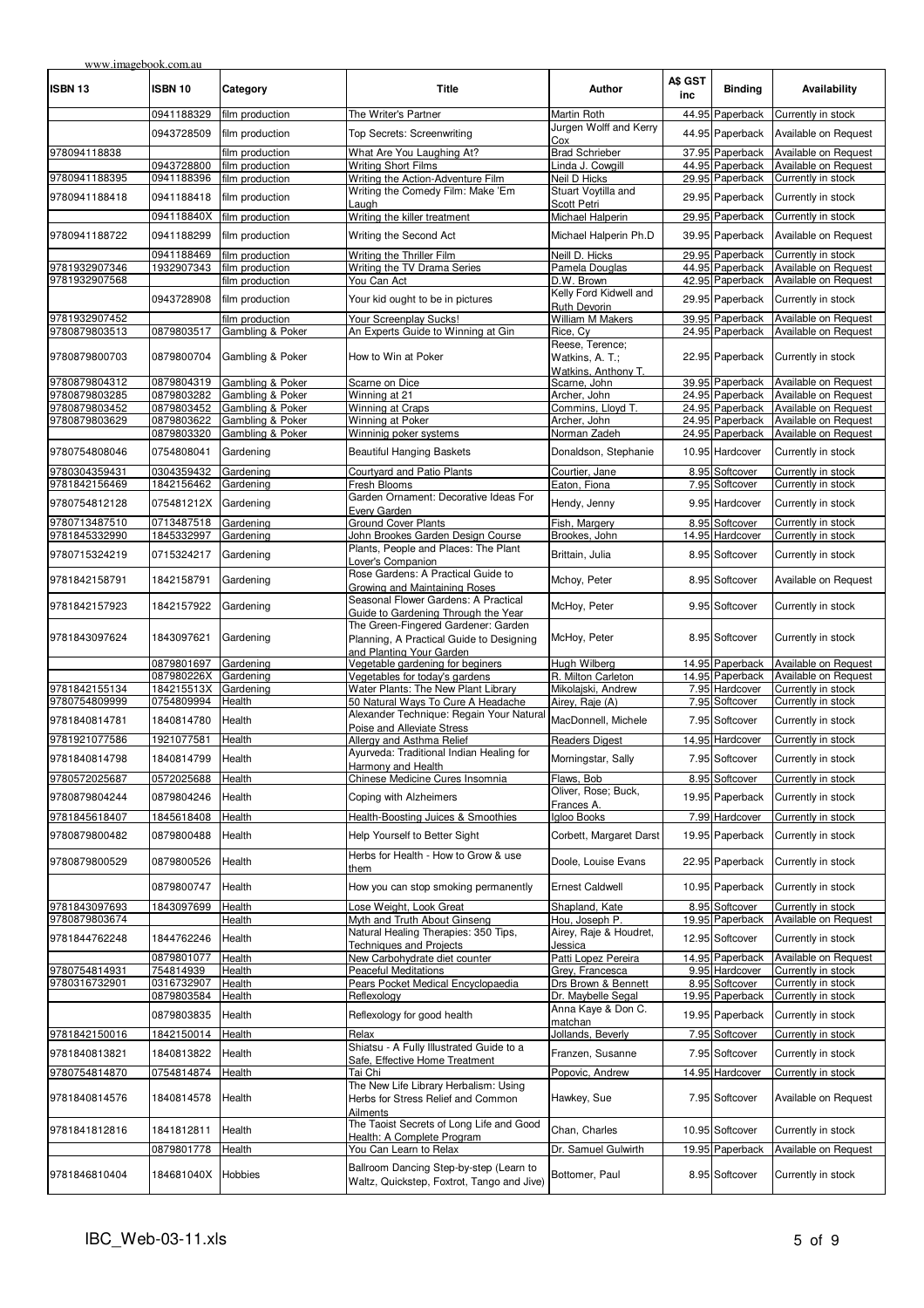| <b>ISBN 13</b>                 | <b>ISBN 10</b>           | Category                            | <b>Title</b>                                                                                                | Author                                 | A\$ GST<br>inc | <b>Binding</b>                     | Availability                                 |
|--------------------------------|--------------------------|-------------------------------------|-------------------------------------------------------------------------------------------------------------|----------------------------------------|----------------|------------------------------------|----------------------------------------------|
|                                | 0941188329               | film production                     | The Writer's Partner                                                                                        | Martin Roth                            |                | 44.95 Paperback                    | Currently in stock                           |
|                                | 0943728509               | film production                     | Top Secrets: Screenwriting                                                                                  | Jurgen Wolff and Kerry<br>Cox          |                | 44.95 Paperback                    | Available on Request                         |
| 978094118838                   |                          | film production                     | What Are You Laughing At?                                                                                   | <b>Brad Schrieber</b>                  |                | 37.95 Paperback                    | Available on Request                         |
|                                | 0943728800               | film production                     | <b>Writing Short Films</b>                                                                                  | Linda J. Cowgill                       |                | 44.95 Paperback                    | Available on Request                         |
| 9780941188395                  | 0941188396               | film production                     | Writing the Action-Adventure Film                                                                           | Neil D Hicks                           |                | 29.95 Paperback                    | Currently in stock                           |
| 9780941188418                  | 0941188418               | film production                     | Writing the Comedy Film: Make 'Em<br>Laugh                                                                  | Stuart Voytilla and<br>Scott Petri     |                | 29.95 Paperback                    | Currently in stock                           |
|                                | 094118840X               | film production                     | Writing the killer treatment                                                                                | Michael Halperin                       |                | 29.95 Paperback                    | Currently in stock                           |
| 9780941188722                  | 0941188299               | film production                     | Writing the Second Act                                                                                      | Michael Halperin Ph.D                  |                | 39.95 Paperback                    | Available on Request                         |
|                                | 0941188469               | film production                     | Writing the Thriller Film                                                                                   | Neill D. Hicks                         |                | 29.95 Paperback                    | Currently in stock                           |
| 9781932907346                  | 1932907343               | film production                     | Writing the TV Drama Series                                                                                 | Pamela Douglas                         |                | 44.95 Paperback                    | Available on Request                         |
| 9781932907568                  | 0943728908               | film production<br>film production  | You Can Act<br>Your kid ought to be in pictures                                                             | D.W. Brown<br>Kelly Ford Kidwell and   |                | 42.95 Paperback<br>29.95 Paperback | Available on Request<br>Currently in stock   |
|                                |                          |                                     |                                                                                                             | Ruth Devorin                           |                |                                    |                                              |
| 9781932907452<br>9780879803513 | 0879803517               | film production<br>Gambling & Poker | Your Screenplay Sucks!<br>An Experts Guide to Winning at Gin                                                | William M Makers<br>Rice, Cy           |                | 39.95 Paperback<br>24.95 Paperback | Available on Request<br>Available on Request |
| 9780879800703                  | 0879800704               | Gambling & Poker                    | How to Win at Poker                                                                                         | Reese, Terence;<br>Watkins, A. T.;     |                | 22.95 Paperback                    | Currently in stock                           |
| 9780879804312                  | 0879804319               | Gambling & Poker                    | Scarne on Dice                                                                                              | Watkins, Anthony T.<br>Scarne, John    |                | 39.95 Paperback                    | Available on Request                         |
| 9780879803285                  | 0879803282               | Gambling & Poker                    | Winning at 21                                                                                               | Archer, John                           |                | 24.95 Paperback                    | Available on Request                         |
| 9780879803452                  | 0879803452               | Gambling & Poker                    | Winning at Craps                                                                                            | Commins, Lloyd T.                      |                | 24.95 Paperback                    | Available on Request                         |
| 9780879803629                  | 0879803622               | Gambling & Poker                    | Winning at Poker                                                                                            | Archer, John                           |                | 24.95 Paperback                    | Available on Request                         |
|                                | 0879803320               | Gambling & Poker                    | Winninig poker systems                                                                                      | Norman Zadeh                           |                | 24.95 Paperback                    | Available on Request                         |
| 9780754808046                  | 0754808041               | Gardening                           | <b>Beautiful Hanging Baskets</b>                                                                            | Donaldson, Stephanie                   |                | 10.95 Hardcover                    | Currently in stock                           |
| 9780304359431<br>9781842156469 | 0304359432<br>1842156462 | Gardening<br>Gardening              | Courtyard and Patio Plants<br>Fresh Blooms                                                                  | Courtier, Jane<br>Eaton, Fiona         |                | 8.95 Softcover<br>7.95 Softcover   | Currently in stock<br>Currently in stock     |
| 9780754812128                  | 075481212X               | Gardening                           | Garden Ornament: Decorative Ideas For                                                                       | Hendy, Jenny                           |                | 9.95 Hardcover                     | Currently in stock                           |
| 9780713487510                  | 0713487518               | Gardening                           | Every Garden<br><b>Ground Cover Plants</b>                                                                  | Fish, Margery                          |                | 8.95 Softcover                     | Currently in stock                           |
| 9781845332990                  | 1845332997               | Gardening                           | John Brookes Garden Design Course                                                                           | Brookes, John                          |                | 14.95 Hardcover                    | Currently in stock                           |
| 9780715324219                  | 0715324217               | Gardening                           | Plants, People and Places: The Plant<br>Lover's Companion                                                   | Brittain, Julia                        |                | 8.95 Softcover                     | Currently in stock                           |
| 9781842158791                  | 1842158791               | Gardening                           | Rose Gardens: A Practical Guide to<br>Growing and Maintaining Roses                                         | Mchoy, Peter                           |                | 8.95 Softcover                     | Available on Request                         |
| 9781842157923                  | 1842157922               | Gardening                           | Seasonal Flower Gardens: A Practical<br>Guide to Gardening Through the Year                                 | McHoy, Peter                           |                | 9.95 Softcover                     | Currently in stock                           |
| 9781843097624                  | 1843097621               | Gardening                           | The Green-Fingered Gardener: Garden<br>Planning, A Practical Guide to Designing<br>and Planting Your Garden | McHoy, Peter                           |                | 8.95 Softcover                     | Currently in stock                           |
|                                | 0879801697               | Gardening                           | Vegetable gardening for beginers                                                                            | Huah Wilbera                           |                | 14.95 Paperback                    | Available on Request                         |
|                                | 087980226X               | Gardening                           | Vegetables for today's gardens                                                                              | R. Milton Carleton                     |                | 14.95 Paperback                    | Available on Request                         |
| 9781842155134<br>9780754809999 | 184215513X<br>0754809994 | Gardening<br>Health                 | Water Plants: The New Plant Library<br>50 Natural Ways To Cure A Headache                                   | Mikolajski, Andrew<br>Airey, Raje (A)  |                | 7.95 Hardcover<br>7.95 Softcover   | Currently in stock<br>Currently in stock     |
| 9781840814781                  | 1840814780               | Health                              | Alexander Technique: Regain Your Natura<br>Poise and Alleviate Stress                                       | MacDonnell, Michele                    |                | 7.95 Softcover                     | Currently in stock                           |
| 9781921077586                  | 1921077581               | Health                              | Allergy and Asthma Relief                                                                                   | <b>Readers Digest</b>                  |                | 14.95 Hardcover                    | Currently in stock                           |
| 9781840814798                  | 1840814799               | Health                              | Ayurveda: Traditional Indian Healing for                                                                    | Morningstar, Sally                     |                | 7.95 Softcover                     | Currently in stock                           |
|                                |                          |                                     | Harmony and Health                                                                                          |                                        |                |                                    |                                              |
| 9780572025687                  | 0572025688               | Health                              | Chinese Medicine Cures Insomnia                                                                             | Flaws, Bob<br>Oliver, Rose; Buck,      |                | 8.95 Softcover                     | Currently in stock                           |
| 9780879804244                  | 0879804246               | Health                              | Coping with Alzheimers                                                                                      | Frances A.                             |                | 19.95 Paperback                    | Currently in stock                           |
| 9781845618407                  | 1845618408               | Health                              | Health-Boosting Juices & Smoothies                                                                          | Igloo Books                            |                | 7.99 Hardcover                     | Currently in stock                           |
| 9780879800482                  | 0879800488               | Health                              | Help Yourself to Better Sight                                                                               | Corbett, Margaret Darst                |                | 19.95 Paperback                    | Currently in stock                           |
| 9780879800529                  | 0879800526               | Health                              | Herbs for Health - How to Grow & use<br>them                                                                | Doole, Louise Evans                    |                | 22.95 Paperback                    | Currently in stock                           |
|                                | 0879800747               | Health                              | How you can stop smoking permanently                                                                        | <b>Ernest Caldwell</b>                 |                | 10.95 Paperback                    | Currently in stock                           |
| 9781843097693                  | 1843097699               | Health                              | Lose Weight, Look Great                                                                                     | Shapland, Kate                         |                | 8.95 Softcover                     | Currently in stock                           |
| 9780879803674                  |                          | Health                              | Myth and Truth About Ginseng<br>Natural Healing Therapies: 350 Tips,                                        | Hou, Joseph P.                         |                | 19.95 Paperback                    | Available on Request                         |
| 9781844762248                  | 1844762246               | Health                              | <b>Techniques and Projects</b>                                                                              | Airey, Raje & Houdret,<br>Jessica      |                | 12.95 Softcover                    | Currently in stock                           |
| 9780754814931                  | 0879801077<br>754814939  | Health<br>Health                    | New Carbohydrate diet counter<br><b>Peaceful Meditations</b>                                                | Patti Lopez Pereira<br>Grey, Francesca |                | 14.95 Paperback<br>9.95 Hardcover  | Available on Request<br>Currently in stock   |
| 9780316732901                  | 0316732907               | Health                              | Pears Pocket Medical Encyclopaedia                                                                          | Drs Brown & Bennett                    |                | 8.95 Softcover                     | Currently in stock                           |
|                                | 0879803584               | Health                              | Reflexology                                                                                                 | Dr. Maybelle Segal                     |                | 19.95 Paperback                    | Currently in stock                           |
|                                | 0879803835               | Health                              | Reflexology for good health                                                                                 | Anna Kaye & Don C.<br>matchan          |                | 19.95 Paperback                    | Currently in stock                           |
| 9781842150016                  | 1842150014               | Health                              | Relax                                                                                                       | Jollands, Beverly                      |                | 7.95 Softcover                     | Currently in stock                           |
| 9781840813821                  | 1840813822               | Health                              | Shiatsu - A Fully Illustrated Guide to a                                                                    | Franzen, Susanne                       |                | 7.95 Softcover                     | Currently in stock                           |
| 9780754814870                  | 0754814874               | Health                              | Safe, Effective Home Treatment<br>Tai Chi                                                                   | Popovic, Andrew                        |                | 14.95 Hardcover                    | Currently in stock                           |
| 9781840814576                  | 1840814578               | Health                              | The New Life Library Herbalism: Using<br>Herbs for Stress Relief and Common<br>Ailments                     | Hawkey, Sue                            |                | 7.95 Softcover                     | Available on Request                         |
| 9781841812816                  | 1841812811               | Health                              | The Taoist Secrets of Long Life and Good                                                                    | Chan, Charles                          |                | 10.95 Softcover                    | Currently in stock                           |
|                                | 0879801778               | Health                              | Health: A Complete Program<br>You Can Learn to Relax                                                        | Dr. Samuel Gulwirth                    |                | 19.95 Paperback                    | Available on Request                         |
|                                |                          |                                     | Ballroom Dancing Step-by-step (Learn to                                                                     |                                        |                |                                    |                                              |
| 9781846810404                  | 184681040X               | Hobbies                             | Waltz, Quickstep, Foxtrot, Tango and Jive)                                                                  | Bottomer, Paul                         |                | 8.95 Softcover                     | Currently in stock                           |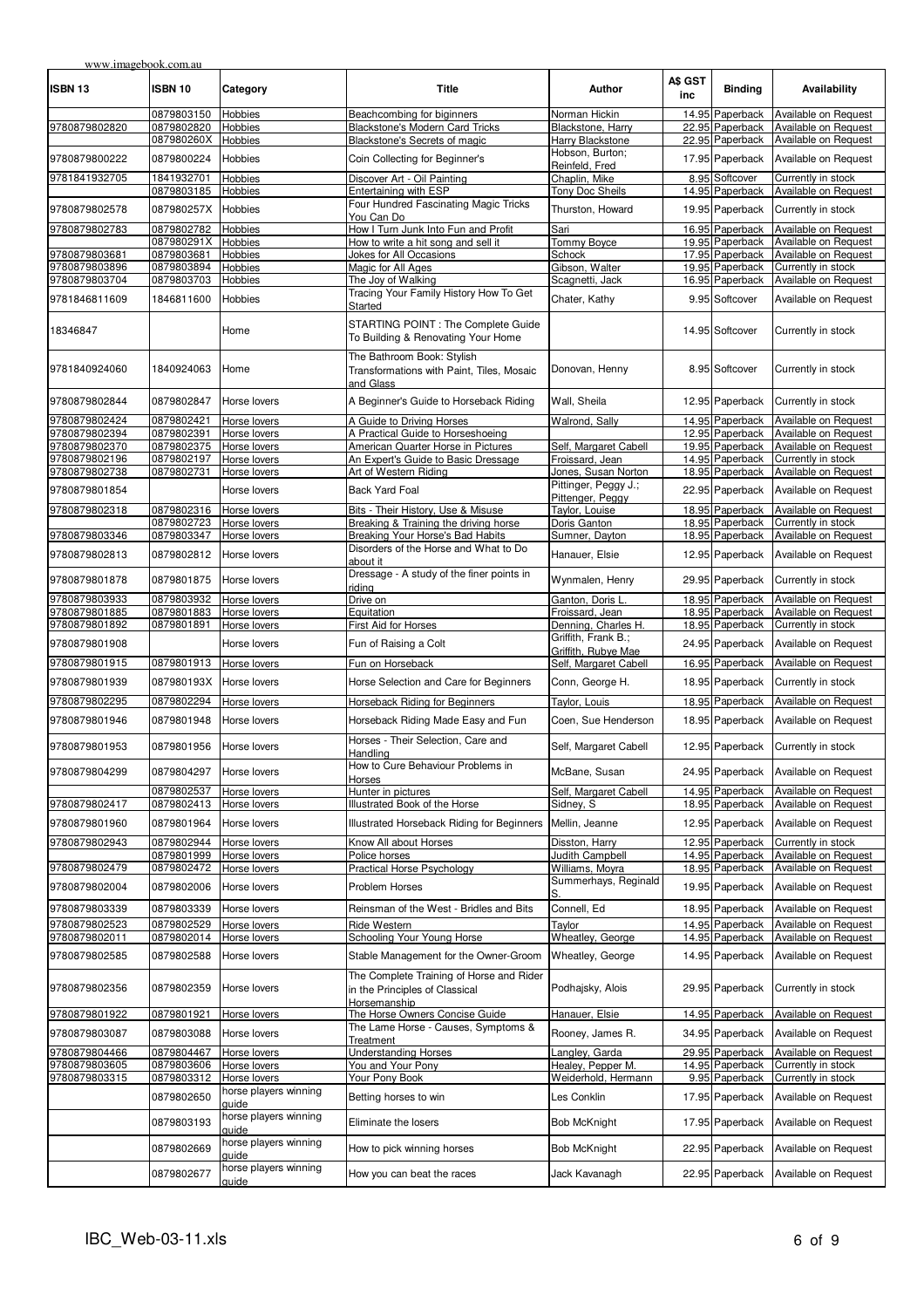| www.imagebook.com.au |            |                                |                                                                                      |                                            |                |                 |                      |
|----------------------|------------|--------------------------------|--------------------------------------------------------------------------------------|--------------------------------------------|----------------|-----------------|----------------------|
| ISBN 13              | ISBN 10    | Category                       | <b>Title</b>                                                                         | Author                                     | A\$ GST<br>inc | <b>Binding</b>  | Availability         |
|                      | 0879803150 | Hobbies                        | Beachcombing for biginners                                                           | Norman Hickin                              |                | 14.95 Paperback | Available on Request |
| 9780879802820        | 0879802820 | Hobbies                        | Blackstone's Modern Card Tricks                                                      | Blackstone, Harry                          |                | 22.95 Paperback | Available on Request |
|                      | 087980260X | <b>Hobbies</b>                 | Blackstone's Secrets of magic                                                        | Harry Blackstone                           |                | 22.95 Paperback | Available on Request |
| 9780879800222        | 0879800224 | Hobbies                        | Coin Collecting for Beginner's                                                       | Hobson, Burton;<br>Reinfeld, Fred          |                | 17.95 Paperback | Available on Request |
| 9781841932705        | 1841932701 | Hobbies                        | Discover Art - Oil Painting                                                          | Chaplin, Mike                              |                | 8.95 Softcover  | Currently in stock   |
|                      | 0879803185 | Hobbies                        | Entertaining with ESP                                                                | Tony Doc Sheils                            |                | 14.95 Paperback | Available on Request |
|                      |            |                                | Four Hundred Fascinating Magic Tricks                                                |                                            |                |                 |                      |
| 9780879802578        | 087980257X | Hobbies                        | You Can Do                                                                           | Thurston, Howard                           |                | 19.95 Paperback | Currently in stock   |
| 9780879802783        | 0879802782 | Hobbies                        | How I Turn Junk Into Fun and Profit                                                  | Sari                                       |                | 16.95 Paperback | Available on Request |
|                      | 087980291X |                                | How to write a hit song and sell it                                                  |                                            |                | 19.95 Paperback | Available on Request |
|                      |            | Hobbies                        |                                                                                      | Tommy Boyce                                |                |                 | Available on Request |
| 9780879803681        | 0879803681 | Hobbies                        | Jokes for All Occasions                                                              | Schock                                     |                | 17.95 Paperback |                      |
| 9780879803896        | 0879803894 | Hobbies                        | Magic for All Ages                                                                   | Gibson, Walter                             |                | 19.95 Paperback | Currently in stock   |
| 9780879803704        | 0879803703 | <b>Hobbies</b>                 | The Joy of Walking                                                                   | Scagnetti, Jack                            |                | 16.95 Paperback | Available on Request |
| 9781846811609        | 1846811600 | Hobbies                        | Tracing Your Family History How To Get<br>Started                                    | Chater, Kathy                              |                | 9.95 Softcover  | Available on Request |
| 18346847             |            | Home                           | STARTING POINT : The Complete Guide<br>To Building & Renovating Your Home            |                                            |                | 14.95 Softcover | Currently in stock   |
| 9781840924060        | 1840924063 | Home                           | The Bathroom Book: Stylish<br>Transformations with Paint, Tiles, Mosaic<br>and Glass | Donovan, Henny                             |                | 8.95 Softcover  | Currently in stock   |
| 9780879802844        | 0879802847 | Horse lovers                   | A Beginner's Guide to Horseback Riding                                               | Wall, Sheila                               |                | 12.95 Paperback | Currently in stock   |
| 9780879802424        | 0879802421 | Horse lovers                   | A Guide to Driving Horses                                                            | Walrond, Sally                             |                | 14.95 Paperback | Available on Request |
| 9780879802394        | 0879802391 | Horse lovers                   | A Practical Guide to Horseshoeing                                                    |                                            |                | 12.95 Paperback | Available on Request |
| 9780879802370        | 0879802375 | Horse lovers                   | American Quarter Horse in Pictures                                                   | Self, Margaret Cabell                      |                | 19.95 Paperback | Available on Request |
| 9780879802196        | 0879802197 | Horse lovers                   | An Expert's Guide to Basic Dressage                                                  | Froissard, Jean                            |                | 14.95 Paperback | Currently in stock   |
| 9780879802738        | 0879802731 | Horse lovers                   | Art of Western Riding                                                                | Jones, Susan Norton                        |                | 18.95 Paperback | Available on Request |
| 9780879801854        |            | Horse lovers                   | <b>Back Yard Foal</b>                                                                | Pittinger, Peggy J.;                       |                | 22.95 Paperback | Available on Request |
|                      |            |                                |                                                                                      | Pittenger, Peggy                           |                |                 |                      |
| 9780879802318        | 0879802316 | Horse lovers                   | Bits - Their History, Use & Misuse                                                   | Taylor, Louise                             |                | 18.95 Paperback | Available on Request |
|                      | 0879802723 | Horse lovers                   | Breaking & Training the driving horse                                                | Doris Ganton                               |                | 18.95 Paperback | Currently in stock   |
| 9780879803346        | 0879803347 | Horse lovers                   | Breaking Your Horse's Bad Habits                                                     | Sumner, Dayton                             |                | 18.95 Paperback | Available on Request |
| 9780879802813        | 0879802812 | Horse lovers                   | Disorders of the Horse and What to Do<br>about it                                    | Hanauer, Elsie                             |                | 12.95 Paperback | Available on Request |
| 9780879801878        | 0879801875 | Horse lovers                   | Dressage - A study of the finer points in<br>riding                                  | Wynmalen, Henry                            |                | 29.95 Paperback | Currently in stock   |
| 9780879803933        | 0879803932 | Horse lovers                   | Drive on                                                                             | Ganton, Doris L                            |                | 18.95 Paperback | Available on Request |
| 9780879801885        | 0879801883 | Horse lovers                   | Equitation                                                                           | Froissard, Jean                            |                | 18.95 Paperback | Available on Request |
| 9780879801892        | 0879801891 | Horse lovers                   | First Aid for Horses                                                                 | Denning, Charles H.                        |                | 18.95 Paperback | Currently in stock   |
| 9780879801908        |            | Horse lovers                   | Fun of Raising a Colt                                                                | Griffith, Frank B.;<br>Griffith, Rubye Mae |                | 24.95 Paperback | Available on Request |
| 9780879801915        | 0879801913 | Horse lovers                   | Fun on Horseback                                                                     | Self, Margaret Cabell                      |                | 16.95 Paperback | Available on Request |
| 9780879801939        | 087980193X | Horse lovers                   | Horse Selection and Care for Beginners                                               | Conn, George H.                            |                | 18.95 Paperback | Currently in stock   |
| 9780879802295        | 0879802294 | Horse lovers                   | <b>Horseback Riding for Beginners</b>                                                | Taylor, Louis                              |                | 18.95 Paperback | Available on Request |
| 9780879801946        | 0879801948 | Horse lovers                   | Horseback Riding Made Easy and Fun                                                   | Coen, Sue Henderson                        |                | 18.95 Paperback | Available on Request |
| 9780879801953        | 0879801956 | Horse lovers                   | Horses - Their Selection, Care and                                                   | Self, Margaret Cabell                      |                | 12.95 Paperback | Currently in stock   |
| 9780879804299        | 0879804297 | Horse lovers                   | Handling<br>How to Cure Behaviour Problems in                                        | McBane, Susan                              |                | 24.95 Paperback | Available on Request |
|                      |            |                                | Horses                                                                               |                                            |                |                 |                      |
|                      | 0879802537 | Horse lovers                   | Hunter in pictures                                                                   | Self, Margaret Cabell                      |                | 14.95 Paperback | Available on Request |
| 9780879802417        | 0879802413 | Horse lovers                   | Illustrated Book of the Horse                                                        | Sidnev. S                                  |                | 18.95 Paperback | Available on Request |
| 9780879801960        | 0879801964 | Horse lovers                   | Illustrated Horseback Riding for Beginners                                           | Mellin, Jeanne                             |                | 12.95 Paperback | Available on Request |
|                      |            |                                |                                                                                      |                                            |                |                 |                      |
| 9780879802943        | 0879802944 | Horse lovers                   | Know All about Horses                                                                | Disston, Harry                             |                | 12.95 Paperback | Currently in stock   |
|                      | 0879801999 | Horse lovers                   | Police horses                                                                        | <b>Judith Campbell</b>                     |                | 14.95 Paperback | Available on Request |
| 9780879802479        | 0879802472 | Horse lovers                   | <b>Practical Horse Psychology</b>                                                    | Williams, Moyra                            |                | 18.95 Paperback | Available on Request |
| 9780879802004        | 0879802006 | Horse lovers                   | <b>Problem Horses</b>                                                                | Summerhays, Reginald<br>S.                 |                | 19.95 Paperback | Available on Request |
| 9780879803339        | 0879803339 | Horse lovers                   | Reinsman of the West - Bridles and Bits                                              | Connell, Ed                                |                | 18.95 Paperback | Available on Request |
| 9780879802523        | 0879802529 | Horse lovers                   | Ride Western                                                                         | Taylor                                     |                | 14.95 Paperback | Available on Request |
| 9780879802011        | 0879802014 | Horse lovers                   | Schooling Your Young Horse                                                           | Wheatley, George                           |                | 14.95 Paperback | Available on Request |
| 9780879802585        | 0879802588 | Horse lovers                   | Stable Management for the Owner-Groom                                                | Wheatley, George                           |                | 14.95 Paperback | Available on Request |
| 9780879802356        | 0879802359 | Horse lovers                   | The Complete Training of Horse and Rider<br>in the Principles of Classical           | Podhajsky, Alois                           |                | 29.95 Paperback | Currently in stock   |
| 9780879801922        | 0879801921 | Horse lovers                   | Horsemanship<br>The Horse Owners Concise Guide                                       | Hanauer, Elsie                             |                | 14.95 Paperback | Available on Request |
| 9780879803087        | 0879803088 | Horse lovers                   | The Lame Horse - Causes, Symptoms &                                                  | Rooney, James R.                           |                | 34.95 Paperback | Available on Request |
|                      |            |                                | Treatment                                                                            |                                            |                |                 |                      |
| 9780879804466        | 0879804467 | Horse lovers                   | <b>Understanding Horses</b>                                                          | Langley, Garda                             |                | 29.95 Paperback | Available on Request |
| 9780879803605        | 0879803606 | Horse lovers                   | You and Your Pony                                                                    | Healey, Pepper M.                          |                | 14.95 Paperback | Currently in stock   |
| 9780879803315        | 0879803312 | Horse lovers                   | Your Pony Book                                                                       | Weiderhold, Hermann                        |                | 9.95 Paperback  | Currently in stock   |
|                      | 0879802650 | horse players winning          | Betting horses to win                                                                | Les Conklin                                |                | 17.95 Paperback | Available on Request |
|                      |            | quide                          |                                                                                      |                                            |                |                 |                      |
|                      | 0879803193 | horse players winning<br>quide | Eliminate the losers                                                                 | <b>Bob McKnight</b>                        |                | 17.95 Paperback | Available on Request |
|                      | 0879802669 | horse players winning<br>quide | How to pick winning horses                                                           | <b>Bob McKnight</b>                        |                | 22.95 Paperback | Available on Request |
|                      | 0879802677 | horse players winning<br>guide | How you can beat the races                                                           | Jack Kavanagh                              |                | 22.95 Paperback | Available on Request |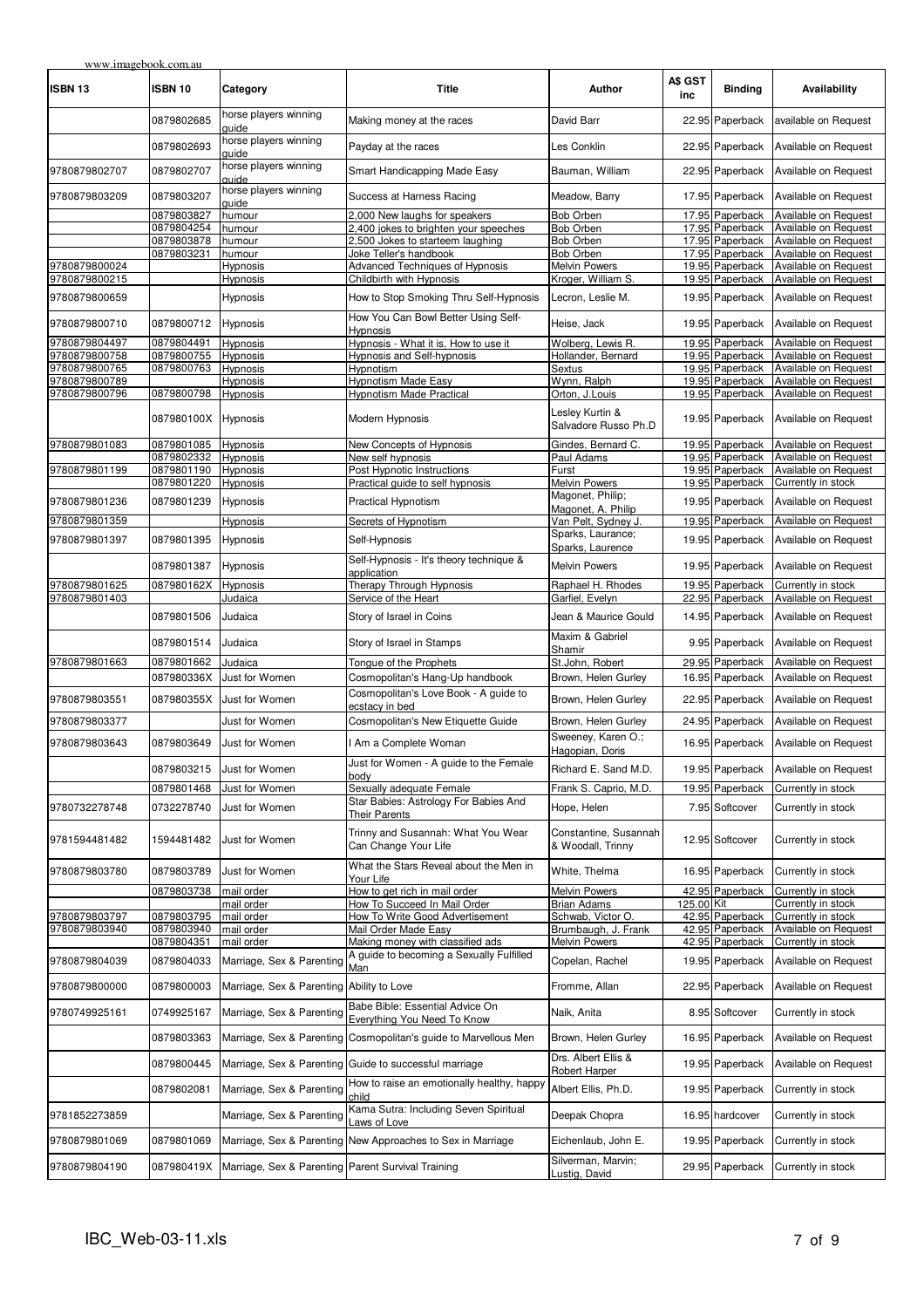| <b>ISBN 13</b>                 | <b>ISBN 10</b>           | Category                                           | <b>Title</b>                                                                  | Author                                     | A\$ GST<br>inc | <b>Binding</b>                     | Availability                                 |
|--------------------------------|--------------------------|----------------------------------------------------|-------------------------------------------------------------------------------|--------------------------------------------|----------------|------------------------------------|----------------------------------------------|
|                                | 0879802685               | horse players winning<br>guide                     | Making money at the races                                                     | David Barr                                 |                | 22.95 Paperback                    | available on Request                         |
|                                | 0879802693               | horse players winning<br>quide                     | Payday at the races                                                           | Les Conklin                                |                | 22.95 Paperback                    | Available on Request                         |
| 9780879802707                  | 0879802707               | horse players winning<br>auide                     | Smart Handicapping Made Easy                                                  | Bauman, William                            |                | 22.95 Paperback                    | Available on Request                         |
| 9780879803209                  | 0879803207               | horse players winning<br>guide                     | Success at Harness Racing                                                     | Meadow, Barry                              |                | 17.95 Paperback                    | Available on Request                         |
|                                | 0879803827               | humour                                             | 2,000 New laughs for speakers                                                 | <b>Bob Orben</b>                           |                | 17.95 Paperback                    | Available on Request                         |
|                                | 0879804254               | humour                                             | 2,400 jokes to brighten your speeches                                         | <b>Bob Orben</b>                           |                | 17.95 Paperback                    | Available on Request                         |
|                                | 0879803878               | humour                                             | 2,500 Jokes to starteem laughing                                              | Bob Orben                                  |                | 17.95 Paperback                    | Available on Request                         |
|                                | 0879803231               | humour                                             | Joke Teller's handbook                                                        | <b>Bob Orben</b>                           |                | 17.95 Paperback                    | Available on Request                         |
| 9780879800024                  |                          | Hypnosis                                           | Advanced Techniques of Hypnosis                                               | Melvin Powers                              |                | 19.95 Paperback                    | Available on Request                         |
| 9780879800215                  |                          | Hypnosis                                           | Childbirth with Hypnosis                                                      | Kroger, William S.                         |                | 19.95 Paperback                    | Available on Request                         |
| 9780879800659                  |                          | Hypnosis                                           | How to Stop Smoking Thru Self-Hypnosis<br>How You Can Bowl Better Using Self- | Lecron, Leslie M.                          |                | 19.95 Paperback                    | Available on Request                         |
| 9780879800710                  | 0879800712               | Hypnosis                                           | Hypnosis                                                                      | Heise, Jack                                |                | 19.95 Paperback                    | Available on Request                         |
| 9780879804497                  | 0879804491               | Hypnosis                                           | Hypnosis - What it is, How to use it                                          | Wolberg, Lewis R.                          |                | 19.95 Paperback                    | Available on Request                         |
| 9780879800758<br>9780879800765 | 0879800755<br>0879800763 | <b>Hypnosis</b><br>Hypnosis                        | Hypnosis and Self-hypnosis<br>Hypnotism                                       | Hollander, Bernard<br>Sextus               |                | 19.95 Paperback<br>19.95 Paperback | Available on Request<br>Available on Request |
| 9780879800789                  |                          | Hypnosis                                           | <b>Hypnotism Made Easy</b>                                                    | Wynn, Ralph                                |                | 19.95 Paperback                    | Available on Request                         |
| 9780879800796                  | 0879800798               | Hypnosis                                           | Hypnotism Made Practical                                                      | Orton, J.Louis                             |                | 19.95 Paperback                    | Available on Request                         |
|                                | 087980100X               | Hypnosis                                           | Modern Hypnosis                                                               | Lesley Kurtin &<br>Salvadore Russo Ph.D    |                | 19.95 Paperback                    | Available on Request                         |
| 9780879801083                  | 0879801085               | Hypnosis                                           | New Concepts of Hypnosis                                                      | Gindes, Bernard C                          |                | 19.95 Paperback                    | Available on Request                         |
|                                | 0879802332               | <b>Hypnosis</b>                                    | New self hypnosis                                                             | Paul Adams                                 |                | 19.95 Paperback                    | Available on Request                         |
| 9780879801199                  | 0879801190               | Hypnosis                                           | Post Hypnotic Instructions                                                    | Furst                                      |                | 19.95 Paperback                    | Available on Request                         |
|                                | 0879801220               | Hypnosis                                           | Practical quide to self hypnosis                                              | <b>Melvin Powers</b>                       |                | 19.95 Paperback                    | Currently in stock                           |
| 9780879801236                  | 0879801239               | Hypnosis                                           | <b>Practical Hypnotism</b>                                                    | Magonet, Philip;<br>Magonet, A. Philip     |                | 19.95 Paperback                    | Available on Request                         |
| 9780879801359                  |                          | Hypnosis                                           | Secrets of Hypnotism                                                          | Van Pelt, Sydney J.                        |                | 19.95 Paperback                    | Available on Request                         |
| 9780879801397                  | 0879801395               | Hypnosis                                           | Self-Hypnosis                                                                 | Sparks, Laurance;                          |                | 19.95 Paperback                    | Available on Request                         |
|                                | 0879801387               | Hypnosis                                           | Self-Hypnosis - It's theory technique &<br>application                        | Sparks, Laurence<br><b>Melvin Powers</b>   |                | 19.95 Paperback                    | Available on Request                         |
| 9780879801625                  | 087980162X               | Hypnosis                                           | Therapy Through Hypnosis                                                      | Raphael H. Rhodes                          |                | 19.95 Paperback                    | Currently in stock                           |
| 9780879801403                  |                          | Judaica                                            | Service of the Heart                                                          | Garfiel, Evelyn                            |                | 22.95 Paperback                    | Available on Request                         |
|                                | 0879801506               | Judaica                                            | Story of Israel in Coins                                                      | Jean & Maurice Gould<br>Maxim & Gabriel    |                | 14.95 Paperback                    | Available on Request                         |
|                                | 0879801514               | Judaica                                            | Story of Israel in Stamps                                                     | Shamir                                     |                | 9.95 Paperback                     | Available on Request                         |
| 9780879801663                  | 0879801662               | Judaica                                            | Tonque of the Prophets                                                        | St.John, Robert                            |                | 29.95 Paperback                    | Available on Request                         |
|                                | 087980336X               | Just for Women                                     | Cosmopolitan's Hang-Up handbook                                               | Brown, Helen Gurley                        |                | 16.95 Paperback                    | Available on Request                         |
| 9780879803551                  | 087980355X               | Just for Women                                     | Cosmopolitan's Love Book - A guide to<br>ecstacy in bed                       | Brown, Helen Gurley                        |                | 22.95 Paperback                    | Available on Request                         |
| 9780879803377                  |                          | Just for Women                                     | Cosmopolitan's New Etiquette Guide                                            | Brown, Helen Gurley                        |                | 24.95 Paperback                    | Available on Request                         |
| 9780879803643                  | 0879803649               | Just for Women                                     | I Am a Complete Woman                                                         | Sweeney, Karen O.;<br>Hagopian, Doris      |                | 16.95 Paperback                    | Available on Request                         |
|                                | 0879803215               | Just for Women                                     | Just for Women - A guide to the Female<br>body                                | Richard E. Sand M.D.                       |                | 19.95 Paperback                    | Available on Request                         |
|                                | 0879801468               | Just for Women                                     | Sexually adequate Female                                                      | Frank S. Caprio, M.D.                      |                | 19.95 Paperback                    | Currently in stock                           |
| 9780732278748                  | 0732278740               | Just for Women                                     | Star Babies: Astrology For Babies And<br>Their Parents                        | Hope, Helen                                |                | 7.95 Softcover                     | Currently in stock                           |
| 9781594481482                  | 1594481482               | Just for Women                                     | Trinny and Susannah: What You Wear<br>Can Change Your Life                    | Constantine, Susannah<br>& Woodall, Trinny |                | 12.95 Softcover                    | Currently in stock                           |
| 9780879803780                  | 0879803789               | Just for Women                                     | What the Stars Reveal about the Men in<br>Your Life                           | White, Thelma                              |                | 16.95 Paperback                    | Currently in stock                           |
|                                | 0879803738               | mail order                                         | How to get rich in mail order                                                 | Melvin Powers                              |                | 42.95 Paperback                    | Currently in stock                           |
|                                |                          | mail order                                         | How To Succeed In Mail Order                                                  | <b>Brian Adams</b>                         | 125.00 Kit     |                                    | Currently in stock                           |
| 9780879803797                  | 0879803795               | mail order                                         | How To Write Good Advertisement                                               | Schwab, Victor O.                          |                | 42.95 Paperback                    | Currently in stock                           |
| 9780879803940                  | 0879803940               | mail order                                         | Mail Order Made Easy                                                          | Brumbaugh, J. Frank                        |                | 42.95 Paperback                    | Available on Request<br>Currently in stock   |
| 9780879804039                  | 0879804351<br>0879804033 | mail order<br>Marriage, Sex & Parenting            | Making money with classified ads<br>A guide to becoming a Sexually Fulfilled  | Melvin Powers<br>Copelan, Rachel           |                | 42.95 Paperback<br>19.95 Paperback | Available on Request                         |
| 9780879800000                  | 0879800003               | Marriage, Sex & Parenting                          | Man<br>Ability to Love                                                        | Fromme, Allan                              |                | 22.95 Paperback                    | Available on Request                         |
| 9780749925161                  | 0749925167               | Marriage, Sex & Parenting                          | Babe Bible: Essential Advice On                                               | Naik, Anita                                |                | 8.95 Softcover                     | Currently in stock                           |
|                                | 0879803363               | Marriage, Sex & Parenting                          | Everything You Need To Know<br>Cosmopolitan's guide to Marvellous Men         | Brown, Helen Gurley                        |                | 16.95 Paperback                    | Available on Request                         |
|                                | 0879800445               |                                                    | Marriage, Sex & Parenting Guide to successful marriage                        | Drs. Albert Ellis &                        |                | 19.95 Paperback                    | Available on Request                         |
|                                | 0879802081               | Marriage, Sex & Parenting                          | How to raise an emotionally healthy, happy                                    | Robert Harper<br>Albert Ellis, Ph.D.       |                | 19.95 Paperback                    | Currently in stock                           |
|                                |                          |                                                    | child<br>Kama Sutra: Including Seven Spiritual                                |                                            |                |                                    |                                              |
| 9781852273859                  |                          | Marriage, Sex & Parenting                          | Laws of Love                                                                  | Deepak Chopra                              |                | 16.95 hardcover                    | Currently in stock                           |
| 9780879801069                  | 0879801069               |                                                    | Marriage, Sex & Parenting New Approaches to Sex in Marriage                   | Eichenlaub, John E.                        |                | 19.95 Paperback                    | Currently in stock                           |
| 9780879804190                  | 087980419X               | Marriage, Sex & Parenting Parent Survival Training |                                                                               | Silverman, Marvin;<br>Lustig, David        |                | 29.95 Paperback                    | Currently in stock                           |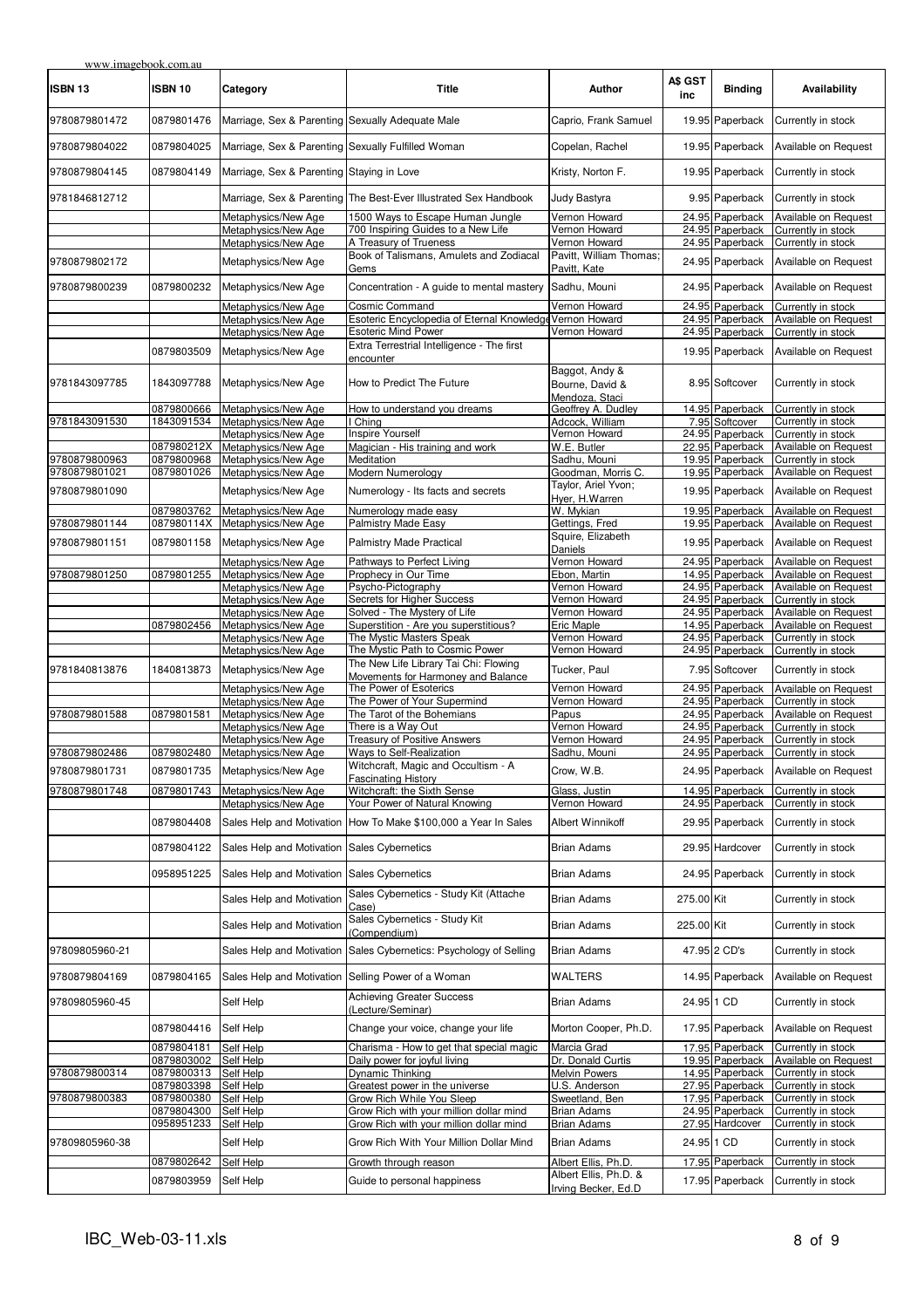| www.imagebook.com.au |                          |                                                    |                                                                        |                                                     |                |                                    |                                            |
|----------------------|--------------------------|----------------------------------------------------|------------------------------------------------------------------------|-----------------------------------------------------|----------------|------------------------------------|--------------------------------------------|
| ISBN 13              | ISBN 10                  | Category                                           | <b>Title</b>                                                           | Author                                              | A\$ GST<br>inc | <b>Binding</b>                     | Availability                               |
| 9780879801472        | 0879801476               | Marriage, Sex & Parenting Sexually Adequate Male   |                                                                        | Caprio, Frank Samuel                                |                | 19.95 Paperback                    | Currently in stock                         |
| 9780879804022        | 0879804025               | Marriage, Sex & Parenting Sexually Fulfilled Woman |                                                                        | Copelan, Rachel                                     |                | 19.95 Paperback                    | Available on Request                       |
| 9780879804145        | 0879804149               | Marriage, Sex & Parenting Staying in Love          |                                                                        | Kristy, Norton F.                                   |                | 19.95 Paperback                    | Currently in stock                         |
| 9781846812712        |                          |                                                    | Marriage, Sex & Parenting The Best-Ever Illustrated Sex Handbook       | Judy Bastyra                                        |                | 9.95 Paperback                     | Currently in stock                         |
|                      |                          | Metaphysics/New Age<br>Metaphysics/New Age         | 1500 Ways to Escape Human Jungle<br>700 Inspiring Guides to a New Life | Vernon Howard<br>Vernon Howard                      |                | 24.95 Paperback<br>24.95 Paperback | Available on Request<br>Currently in stock |
|                      |                          | Metaphysics/New Age                                | A Treasury of Trueness                                                 | Vernon Howard                                       |                | 24.95 Paperback                    | Currently in stock                         |
| 9780879802172        |                          | Metaphysics/New Age                                | Book of Talismans, Amulets and Zodiacal<br>Gems                        | Pavitt, William Thomas;<br>Pavitt, Kate             |                | 24.95 Paperback                    | Available on Request                       |
| 9780879800239        | 0879800232               | Metaphysics/New Age                                | Concentration - A guide to mental mastery                              | Sadhu, Mouni                                        |                | 24.95 Paperback                    | Available on Request                       |
|                      |                          | Metaphysics/New Age                                | Cosmic Command                                                         | Vernon Howard                                       |                | 24.95 Paperback                    | Currently in stock                         |
|                      |                          | Metaphysics/New Age                                | Esoteric Encyclopedia of Eternal Knowledge Vernon Howard               |                                                     |                | 24.95 Paperback                    | Available on Request                       |
|                      |                          | Metaphysics/New Age                                | <b>Esoteric Mind Power</b>                                             | Vernon Howard                                       |                | 24.95 Paperback                    | Currently in stock                         |
|                      | 0879803509               | Metaphysics/New Age                                | Extra Terrestrial Intelligence - The first<br>encounter                |                                                     |                | 19.95 Paperback                    | Available on Request                       |
| 9781843097785        | 1843097788               | Metaphysics/New Age                                | How to Predict The Future                                              | Baggot, Andy &<br>Bourne, David &<br>Mendoza, Staci |                | 8.95 Softcover                     | Currently in stock                         |
|                      | 0879800666               | Metaphysics/New Age                                | How to understand you dreams                                           | Geoffrey A. Dudley                                  |                | 14.95 Paperback                    | Currently in stock                         |
| 9781843091530        | 1843091534               | Metaphysics/New Age                                | I China                                                                | Adcock, William                                     |                | 7.95 Softcover                     | Currently in stock                         |
|                      |                          | Metaphysics/New Age                                | <b>Inspire Yourself</b>                                                | Vernon Howard                                       |                | 24.95 Paperback                    | Currently in stock                         |
|                      | 087980212X               | Metaphysics/New Age                                | Magician - His training and work                                       | W.E. Butler                                         |                | 22.95 Paperback                    | Available on Request                       |
| 9780879800963        | 0879800968               | Metaphysics/New Age                                | Meditation                                                             | Sadhu, Mouni                                        |                | 19.95 Paperback                    | Currently in stock                         |
| 9780879801021        | 0879801026               | Metaphysics/New Age                                | Modern Numerology                                                      | Goodman, Morris C.                                  |                | 19.95 Paperback                    | Available on Request                       |
| 9780879801090        |                          | Metaphysics/New Age                                | Numerology - Its facts and secrets                                     | Taylor, Ariel Yvon;<br>Hyer, H.Warren               |                | 19.95 Paperback                    | Available on Request                       |
|                      | 0879803762               | Metaphysics/New Age                                | Numerology made easy                                                   | W. Mykian                                           |                | 19.95 Paperback                    | Available on Request                       |
| 9780879801144        | 087980114X               | Metaphysics/New Age                                | <b>Palmistry Made Easy</b>                                             | Gettings, Fred                                      |                | 19.95 Paperback                    | Available on Request                       |
| 9780879801151        | 0879801158               | Metaphysics/New Age                                | <b>Palmistry Made Practical</b>                                        | Squire, Elizabeth<br>Daniels                        |                | 19.95 Paperback                    | Available on Request                       |
|                      |                          | Metaphysics/New Age                                | Pathways to Perfect Living                                             | Vernon Howard                                       |                | 24.95 Paperback                    | Available on Request                       |
| 9780879801250        | 0879801255               | Metaphysics/New Age                                | Prophecy in Our Time                                                   | Ebon, Martin                                        |                | 14.95 Paperback                    | Available on Request                       |
|                      |                          | Metaphysics/New Age                                | Psycho-Pictography                                                     | Vernon Howard                                       |                | 24.95 Paperback                    | Available on Request                       |
|                      |                          | Metaphysics/New Age                                | Secrets for Higher Success                                             | Vernon Howard                                       |                | 24.95 Paperback                    | Currently in stock                         |
|                      |                          | Metaphysics/New Age                                | Solved - The Mystery of Life                                           | Vernon Howard                                       |                | 24.95 Paperback                    | Available on Request                       |
|                      | 0879802456               | Metaphysics/New Age<br>Metaphysics/New Age         | Superstition - Are you superstitious?<br>The Mystic Masters Speak      | Eric Maple<br>Vernon Howard                         |                | 14.95 Paperback<br>24.95 Paperback | Available on Request<br>Currently in stock |
|                      |                          | Metaphysics/New Age                                | The Mystic Path to Cosmic Power                                        | Vernon Howard                                       |                | 24.95 Paperback                    | Currently in stock                         |
| 9781840813876        | 1840813873               | Metaphysics/New Age                                | The New Life Library Tai Chi: Flowing                                  | Tucker, Paul                                        |                | 7.95 Softcover                     | Currently in stock                         |
|                      |                          | Metaphysics/New Age                                | Movements for Harmoney and Balance<br>The Power of Esoterics           | Vernon Howard                                       |                | 24.95 Paperback                    | Available on Request                       |
|                      |                          | Metaphysics/New Age                                | The Power of Your Supermind                                            | Vernon Howard                                       |                | 24.95 Paperback                    | Currently in stock                         |
| 9780879801588        | 0879801581               | Metaphysics/New Age                                | The Tarot of the Bohemians                                             | Papus                                               |                | 24.95 Paperback                    | Available on Request                       |
|                      |                          | Metaphysics/New Age                                | There is a Way Out                                                     | Vernon Howard                                       |                | 24.95 Paperback                    | Currently in stock                         |
|                      |                          | Metaphysics/New Age                                | <b>Treasury of Positive Answers</b>                                    | Vernon Howard                                       |                | 24.95 Paperback                    | Currently in stock                         |
| 9780879802486        | 0879802480               | Metaphysics/New Age                                | Ways to Self-Realization                                               | Sadhu, Mouni                                        |                | 24.95 Paperback                    | Currently in stock                         |
| 9780879801731        | 0879801735               | Metaphysics/New Age                                | Witchcraft, Magic and Occultism - A<br><b>Fascinating History</b>      | Crow, W.B.                                          |                | 24.95 Paperback                    | Available on Request                       |
| 9780879801748        | 0879801743               | Metaphysics/New Age                                | Witchcraft: the Sixth Sense                                            | Glass, Justin                                       |                | 14.95 Paperback                    | Currently in stock                         |
|                      |                          | Metaphysics/New Age                                | Your Power of Natural Knowing                                          | Vernon Howard                                       |                | 24.95 Paperback                    | Currently in stock                         |
|                      | 0879804408               | Sales Help and Motivation                          | How To Make \$100,000 a Year In Sales                                  | Albert Winnikoff                                    |                | 29.95 Paperback                    | Currently in stock                         |
|                      | 0879804122               | Sales Help and Motivation                          | <b>Sales Cybernetics</b>                                               | <b>Brian Adams</b>                                  |                | 29.95 Hardcover                    | Currently in stock                         |
|                      | 0958951225               | Sales Help and Motivation                          | <b>Sales Cybernetics</b>                                               | <b>Brian Adams</b>                                  |                | 24.95 Paperback                    | Currently in stock                         |
|                      |                          | Sales Help and Motivation                          | Sales Cybernetics - Study Kit (Attache<br>Case)                        | <b>Brian Adams</b>                                  | 275.00 Kit     |                                    | Currently in stock                         |
|                      |                          | Sales Help and Motivation                          | Sales Cybernetics - Study Kit<br>(Compendium)                          | <b>Brian Adams</b>                                  | 225.00 Kit     |                                    | Currently in stock                         |
| 97809805960-21       |                          | Sales Help and Motivation                          | Sales Cybernetics: Psychology of Selling                               | <b>Brian Adams</b>                                  |                | 47.95 2 CD's                       | Currently in stock                         |
| 9780879804169        | 0879804165               | Sales Help and Motivation                          | Selling Power of a Woman                                               | WALTERS                                             |                | 14.95 Paperback                    | Available on Request                       |
| 97809805960-45       |                          | Self Help                                          | <b>Achieving Greater Success</b><br>(Lecture/Seminar)                  | Brian Adams                                         | 24.95 1 CD     |                                    | Currently in stock                         |
|                      | 0879804416               | Self Help                                          | Change your voice, change your life                                    | Morton Cooper, Ph.D.                                |                | 17.95 Paperback                    | Available on Request                       |
|                      | 0879804181               | Self Help                                          | Charisma - How to get that special magic                               | Marcia Grad                                         |                | 17.95 Paperback                    | Currently in stock                         |
|                      | 0879803002<br>0879800313 | Self Help                                          | Daily power for joyful living                                          | Dr. Donald Curtis                                   |                | 19.95 Paperback<br>14.95 Paperback | Available on Request<br>Currently in stock |
| 9780879800314        | 0879803398               | Self Help<br>Self Help                             | Dynamic Thinking<br>Greatest power in the universe                     | <b>Melvin Powers</b><br>U.S. Anderson               |                | 27.95 Paperback                    | Currently in stock                         |
| 9780879800383        | 0879800380               | Self Help                                          | Grow Rich While You Sleep                                              | Sweetland, Ben                                      |                | 17.95 Paperback                    | Currently in stock                         |
|                      | 0879804300               | Self Help                                          | Grow Rich with your million dollar mind                                | <b>Brian Adams</b>                                  |                | 24.95 Paperback                    | Currently in stock                         |
|                      | 0958951233               | Self Help                                          | Grow Rich with your million dollar mind                                | <b>Brian Adams</b>                                  |                | 27.95 Hardcover                    | Currently in stock                         |
| 97809805960-38       |                          | Self Help                                          | Grow Rich With Your Million Dollar Mind                                | Brian Adams                                         | 24.95 1 CD     |                                    | Currently in stock                         |
|                      | 0879802642               | Self Help                                          | Growth through reason                                                  | Albert Ellis, Ph.D.                                 |                | 17.95 Paperback                    | Currently in stock                         |
|                      | 0879803959               | Self Help                                          | Guide to personal happiness                                            | Albert Ellis, Ph.D. &                               |                | 17.95 Paperback                    | Currently in stock                         |
|                      |                          |                                                    |                                                                        | Irving Becker, Ed.D                                 |                |                                    |                                            |